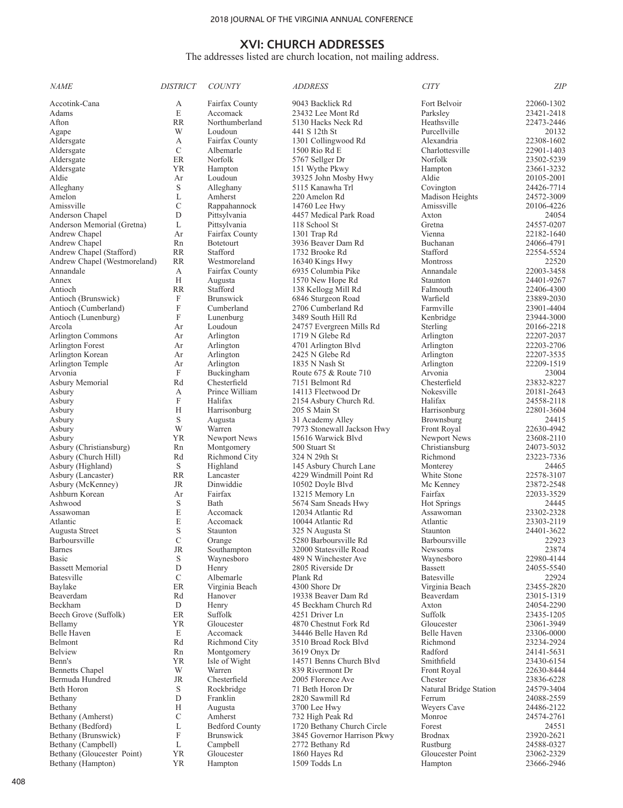# The addresses listed are church location, not mailing address.

| <i>NAME</i>                  | <b>DISTRICT</b> | <b>COUNTY</b>         | <b>ADDRESS</b>              | <b>CITY</b>            | <b>ZIP</b> |
|------------------------------|-----------------|-----------------------|-----------------------------|------------------------|------------|
| Accotink-Cana                | A               | Fairfax County        | 9043 Backlick Rd            | Fort Belvoir           | 22060-1302 |
| Adams                        | E               | Accomack              | 23432 Lee Mont Rd           | Parksley               | 23421-2418 |
| Afton                        | <b>RR</b>       | Northumberland        | 5130 Hacks Neck Rd          | Heathsville            | 22473-2446 |
| Agape                        | W               | Loudoun               | 441 S 12th St               | Purcellville           | 20132      |
| Aldersgate                   | A               | Fairfax County        | 1301 Collingwood Rd         | Alexandria             | 22308-1602 |
| Aldersgate                   | C               | Albemarle             | 1500 Rio Rd E               | Charlottesville        | 22901-1403 |
| Aldersgate                   | ER              | Norfolk               | 5767 Sellger Dr             | Norfolk                | 23502-5239 |
| Aldersgate                   | YR              | Hampton               | 151 Wythe Pkwy              | Hampton                | 23661-3232 |
| Aldie                        | Ar              | Loudoun               | 39325 John Mosby Hwy        | Aldie                  | 20105-2001 |
| Alleghany                    | S               | Alleghany             | 5115 Kanawha Trl            | Covington              | 24426-7714 |
| Amelon                       | L               | Amherst               | 220 Amelon Rd               | Madison Heights        | 24572-3009 |
| Amissville                   | C               | Rappahannock          | 14760 Lee Hwy               | Amissville             | 20106-4226 |
| Anderson Chapel              | D               | Pittsylvania          | 4457 Medical Park Road      | Axton                  | 24054      |
| Anderson Memorial (Gretna)   | L               | Pittsylvania          | 118 School St               | Gretna                 | 24557-0207 |
| Andrew Chapel                | Ar              | Fairfax County        | 1301 Trap Rd                | Vienna                 | 22182-1640 |
| Andrew Chapel                | Rn              | <b>Botetourt</b>      | 3936 Beaver Dam Rd          | Buchanan               | 24066-4791 |
| Andrew Chapel (Stafford)     | <b>RR</b>       | Stafford              | 1732 Brooke Rd              | Stafford               | 22554-5524 |
| Andrew Chapel (Westmoreland) | <b>RR</b>       | Westmoreland          | 16340 Kings Hwy             | <b>Montross</b>        | 22520      |
| Annandale                    | A               | Fairfax County        | 6935 Columbia Pike          | Annandale              | 22003-3458 |
| Annex                        | H               | Augusta               | 1570 New Hope Rd            | Staunton               | 24401-9267 |
| Antioch                      | <b>RR</b>       | Stafford              | 138 Kellogg Mill Rd         | Falmouth               | 22406-4300 |
| Antioch (Brunswick)          | F               | <b>Brunswick</b>      | 6846 Sturgeon Road          | Warfield               | 23889-2030 |
| Antioch (Cumberland)         | F               | Cumberland            | 2706 Cumberland Rd          | Farmville              | 23901-4404 |
| Antioch (Lunenburg)          | F               | Lunenburg             | 3489 South Hill Rd          | Kenbridge              | 23944-3000 |
| Arcola                       | Ar              | Loudoun               | 24757 Evergreen Mills Rd    | Sterling               | 20166-2218 |
| Arlington Commons            | Ar              | Arlington             | 1719 N Glebe Rd             | Arlington              | 22207-2037 |
| Arlington Forest             | Ar              | Arlington             | 4701 Arlington Blvd         | Arlington              | 22203-2706 |
| Arlington Korean             | Ar              | Arlington             | 2425 N Glebe Rd             | Arlington              | 22207-3535 |
| Arlington Temple             | Ar              | Arlington             | 1835 N Nash St              | Arlington              | 22209-1519 |
| Arvonia                      | F               | Buckingham            | Route 675 & Route 710       | Arvonia                | 23004      |
| Asbury Memorial              | Rd              | Chesterfield          | 7151 Belmont Rd             | Chesterfield           | 23832-8227 |
| Asbury                       | А               | Prince William        | 14113 Fleetwood Dr          | Nokesville             | 20181-2643 |
| Asbury                       | F               | Halifax               | 2154 Asbury Church Rd.      | Halifax                | 24558-2118 |
| Asbury                       | Н               | Harrisonburg          | 205 S Main St               | Harrisonburg           | 22801-3604 |
| Asbury                       | S               | Augusta               | 31 Academy Alley            | Brownsburg             | 24415      |
| Asbury                       | W               | Warren                | 7973 Stonewall Jackson Hwy  | Front Royal            | 22630-4942 |
| Asbury                       | YR              | Newport News          | 15616 Warwick Blvd          | Newport News           | 23608-2110 |
| Asbury (Christiansburg)      | Rn              | Montgomery            | 500 Stuart St               | Christiansburg         | 24073-5032 |
| Asbury (Church Hill)         | Rd              | Richmond City         | 324 N 29th St               | Richmond               | 23223-7336 |
| Asbury (Highland)            | S               | Highland              | 145 Asbury Church Lane      | Monterey               | 24465      |
| Asbury (Lancaster)           | <b>RR</b>       | Lancaster             | 4229 Windmill Point Rd      | White Stone            | 22578-3107 |
| Asbury (McKenney)            | JR              | Dinwiddie             | 10502 Doyle Blvd            | Mc Kenney              | 23872-2548 |
| Ashburn Korean               | Ar              | Fairfax               | 13215 Memory Ln             | Fairfax                | 22033-3529 |
| Ashwood                      | S               | Bath                  | 5674 Sam Sneads Hwy         | <b>Hot Springs</b>     | 24445      |
| Assawoman                    | E               | Accomack              | 12034 Atlantic Rd           | Assawoman              | 23302-2328 |
| Atlantic                     | E               | Accomack              | 10044 Atlantic Rd           | Atlantic               | 23303-2119 |
| Augusta Street               | S               | Staunton              | 325 N Augusta St            | Staunton               | 24401-3622 |
| <b>Barboursville</b>         | C               | Orange                | 5280 Barboursville Rd       | <b>Barboursville</b>   | 22923      |
| Barnes                       | JR              | Southampton           | 32000 Statesville Road      | Newsoms                | 23874      |
| Basic                        | S               | Waynesboro            | 489 N Winchester Ave        | Waynesboro             | 22980-4144 |
| <b>Bassett Memorial</b>      | D               | Henry                 | 2805 Riverside Dr           | <b>Bassett</b>         | 24055-5540 |
| Batesville                   | C               | Albemarle             | Plank Rd                    | Batesville             | 22924      |
| Baylake                      | ER              | Virginia Beach        | 4300 Shore Dr               | Virginia Beach         | 23455-2820 |
| Beaverdam                    | Rd              | Hanover               | 19338 Beaver Dam Rd         | Beaverdam              | 23015-1319 |
| Beckham                      | D               | Henry                 | 45 Beckham Church Rd        | Axton                  | 24054-2290 |
| Beech Grove (Suffolk)        | ER              | Suffolk               | 4251 Driver Ln              | Suffolk                | 23435-1205 |
| Bellamy                      | YR              | Gloucester            | 4870 Chestnut Fork Rd       | Gloucester             | 23061-3949 |
| Belle Haven                  | E               | Accomack              | 34446 Belle Haven Rd        | Belle Haven            | 23306-0000 |
| Belmont                      | Rd              | Richmond City         | 3510 Broad Rock Blvd        | Richmond               | 23234-2924 |
| <b>Belview</b>               | Rn              | Montgomery            | 3619 Onyx Dr                | Radford                | 24141-5631 |
| Benn's                       | YR              | Isle of Wight         | 14571 Benns Church Blvd     | Smithfield             | 23430-6154 |
| <b>Bennetts Chapel</b>       | W               | Warren                | 839 Rivermont Dr            | Front Royal            | 22630-8444 |
| Bermuda Hundred              | JR              | Chesterfield          | 2005 Florence Ave           | Chester                | 23836-6228 |
| Beth Horon                   | S               | Rockbridge            | 71 Beth Horon Dr            | Natural Bridge Station | 24579-3404 |
| Bethany                      | D               | Franklin              | 2820 Sawmill Rd             | Ferrum                 | 24088-2559 |
| Bethany                      | Н               | Augusta               | 3700 Lee Hwy                | Weyers Cave            | 24486-2122 |
| Bethany (Amherst)            | С               | Amherst               | 732 High Peak Rd            | Monroe                 | 24574-2761 |
| Bethany (Bedford)            | L               | <b>Bedford County</b> | 1720 Bethany Church Circle  | Forest                 | 24551      |
| Bethany (Brunswick)          | F               | <b>Brunswick</b>      | 3845 Governor Harrison Pkwy | <b>Brodnax</b>         | 23920-2621 |
| Bethany (Campbell)           | L               | Campbell              | 2772 Bethany Rd             | Rustburg               | 24588-0327 |
| Bethany (Gloucester Point)   | <b>YR</b>       | Gloucester            | 1860 Hayes Rd               | Gloucester Point       | 23062-2329 |
| Bethany (Hampton)            | YR              | Hampton               | 1509 Todds Ln               | Hampton                | 23666-2946 |
|                              |                 |                       |                             |                        |            |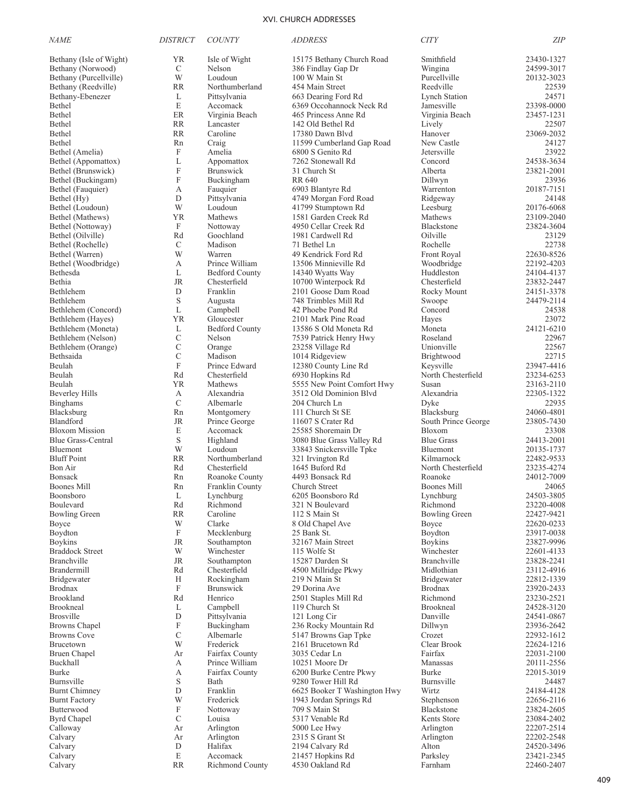| <i>NAME</i>                                  | <b>DISTRICT</b>  | <b>COUNTY</b>                  | <b>ADDRESS</b>                                         | <b>CITY</b>                      | <b>ZIP</b>               |
|----------------------------------------------|------------------|--------------------------------|--------------------------------------------------------|----------------------------------|--------------------------|
| Bethany (Isle of Wight)                      | <b>YR</b>        | Isle of Wight                  | 15175 Bethany Church Road                              | Smithfield                       | 23430-1327               |
| Bethany (Norwood)                            | $\mathcal{C}$    | Nelson                         | 386 Findlay Gap Dr                                     | Wingina                          | 24599-3017               |
| Bethany (Purcellville)                       | W                | Loudoun                        | 100 W Main St                                          | Purcellville                     | 20132-3023               |
| Bethany (Reedville)                          | <b>RR</b>        | Northumberland                 | 454 Main Street                                        | Reedville                        | 22539                    |
| Bethany-Ebenezer                             | L                | Pittsylvania                   | 663 Dearing Ford Rd                                    | <b>Lynch Station</b>             | 24571                    |
| Bethel                                       | E                | Accomack                       | 6369 Occohannock Neck Rd                               | Jamesville                       | 23398-0000               |
| Bethel<br>Bethel                             | ER<br><b>RR</b>  | Virginia Beach<br>Lancaster    | 465 Princess Anne Rd<br>142 Old Bethel Rd              | Virginia Beach<br>Lively         | 23457-1231<br>22507      |
| Bethel                                       | <b>RR</b>        | Caroline                       | 17380 Dawn Blvd                                        | Hanover                          | 23069-2032               |
| Bethel                                       | Rn               | Craig                          | 11599 Cumberland Gap Road                              | New Castle                       | 24127                    |
| Bethel (Amelia)                              | F                | Amelia                         | 6800 S Genito Rd                                       | Jetersville                      | 23922                    |
| Bethel (Appomattox)                          | L                | Appomattox                     | 7262 Stonewall Rd                                      | Concord                          | 24538-3634               |
| Bethel (Brunswick)                           | F                | Brunswick                      | 31 Church St                                           | Alberta                          | 23821-2001               |
| Bethel (Buckingam)                           | $\boldsymbol{F}$ | Buckingham                     | <b>RR 640</b>                                          | Dillwyn                          | 23936                    |
| Bethel (Fauquier)                            | А                | Fauquier                       | 6903 Blantyre Rd                                       | Warrenton                        | 20187-7151               |
| Bethel (Hy)                                  | D<br>W           | Pittsylvania<br>Loudoun        | 4749 Morgan Ford Road<br>41799 Stumptown Rd            | Ridgeway<br>Leesburg             | 24148<br>20176-6068      |
| Bethel (Loudoun)<br>Bethel (Mathews)         | <b>YR</b>        | Mathews                        | 1581 Garden Creek Rd                                   | Mathews                          | 23109-2040               |
| Bethel (Nottoway)                            | F                | Nottoway                       | 4950 Cellar Creek Rd                                   | Blackstone                       | 23824-3604               |
| Bethel (Oilville)                            | Rd               | Goochland                      | 1981 Cardwell Rd                                       | Oilville                         | 23129                    |
| Bethel (Rochelle)                            | $\mathcal{C}$    | Madison                        | 71 Bethel Ln                                           | Rochelle                         | 22738                    |
| Bethel (Warren)                              | W                | Warren                         | 49 Kendrick Ford Rd                                    | Front Royal                      | 22630-8526               |
| Bethel (Woodbridge)                          | А                | Prince William                 | 13506 Minnieville Rd                                   | Woodbridge                       | 22192-4203               |
| Bethesda                                     | L                | <b>Bedford County</b>          | 14340 Wyatts Way                                       | Huddleston                       | 24104-4137               |
| <b>Bethia</b>                                | <b>JR</b>        | Chesterfield                   | 10700 Winterpock Rd                                    | Chesterfield                     | 23832-2447               |
| Bethlehem<br>Bethlehem                       | D<br>S           | Franklin<br>Augusta            | 2101 Goose Dam Road<br>748 Trimbles Mill Rd            | Rocky Mount<br>Swoope            | 24151-3378<br>24479-2114 |
| Bethlehem (Concord)                          | L                | Campbell                       | 42 Phoebe Pond Rd                                      | Concord                          | 24538                    |
| Bethlehem (Hayes)                            | <b>YR</b>        | Gloucester                     | 2101 Mark Pine Road                                    | Hayes                            | 23072                    |
| Bethlehem (Moneta)                           | L                | <b>Bedford County</b>          | 13586 S Old Moneta Rd                                  | Moneta                           | 24121-6210               |
| Bethlehem (Nelson)                           | $\mathcal{C}$    | Nelson                         | 7539 Patrick Henry Hwy                                 | Roseland                         | 22967                    |
| Bethlehem (Orange)                           | $\mathcal{C}$    | Orange                         | 23258 Village Rd                                       | Unionville                       | 22567                    |
| Bethsaida                                    | $\mathcal{C}$    | Madison                        | 1014 Ridgeview                                         | Brightwood                       | 22715                    |
| Beulah                                       | $\mathbf F$      | Prince Edward                  | 12380 County Line Rd                                   | Keysville                        | 23947-4416               |
| Beulah<br>Beulah                             | Rd<br><b>YR</b>  | Chesterfield<br>Mathews        | 6930 Hopkins Rd<br>5555 New Point Comfort Hwy          | North Chesterfield<br>Susan      | 23234-6253<br>23163-2110 |
| <b>Beverley Hills</b>                        | А                | Alexandria                     | 3512 Old Dominion Blvd                                 | Alexandria                       | 22305-1322               |
| <b>Binghams</b>                              | $\mathcal{C}$    | Albemarle                      | 204 Church Ln                                          | Dyke                             | 22935                    |
| Blacksburg                                   | Rn               | Montgomery                     | 111 Church St SE                                       | Blacksburg                       | 24060-4801               |
| Blandford                                    | <b>JR</b>        | Prince George                  | 11607 S Crater Rd                                      | South Prince George              | 23805-7430               |
| <b>Bloxom Mission</b>                        | E                | Accomack                       | 25585 Shoremain Dr                                     | Bloxom                           | 23308                    |
| <b>Blue Grass-Central</b>                    | $\mathbf S$      | Highland                       | 3080 Blue Grass Valley Rd                              | <b>Blue Grass</b>                | 24413-2001               |
| Bluemont                                     | W                | Loudoun                        | 33843 Snickersville Tpke                               | <b>Bluemont</b>                  | 20135-1737               |
| <b>Bluff Point</b><br>Bon Air                | <b>RR</b><br>Rd  | Northumberland<br>Chesterfield | 321 Irvington Rd<br>1645 Buford Rd                     | Kilmarnock<br>North Chesterfield | 22482-9533<br>23235-4274 |
| <b>Bonsack</b>                               | Rn               | Roanoke County                 | 4493 Bonsack Rd                                        | Roanoke                          | 24012-7009               |
| Boones Mill                                  | Rn               | Franklin County                | Church Street                                          | <b>Boones Mill</b>               | 24065                    |
| <b>Boonsboro</b>                             | L                | Lynchburg                      | 6205 Boonsboro Rd                                      | Lynchburg                        | 24503-3805               |
| Boulevard                                    | Rd               | Richmond                       | 321 N Boulevard                                        | Richmond                         | 23220-4008               |
| <b>Bowling Green</b>                         | <b>RR</b>        | Caroline                       | 112 S Main St                                          | <b>Bowling Green</b>             | 22427-9421               |
| Boyce                                        | W                | Clarke                         | 8 Old Chapel Ave                                       | Boyce                            | 22620-0233               |
| Boydton<br><b>Boykins</b>                    | F<br><b>JR</b>   | Mecklenburg<br>Southampton     | 25 Bank St.<br>32167 Main Street                       | Boydton<br>Boykins               | 23917-0038<br>23827-9996 |
| <b>Braddock Street</b>                       | W                | Winchester                     | 115 Wolfe St                                           | Winchester                       | 22601-4133               |
| <b>Branchville</b>                           | <b>JR</b>        | Southampton                    | 15287 Darden St                                        | <b>Branchville</b>               | 23828-2241               |
| Brandermill                                  | Rd               | Chesterfield                   | 4500 Millridge Pkwy                                    | Midlothian                       | 23112-4916               |
| Bridgewater                                  | H                | Rockingham                     | 219 N Main St                                          | Bridgewater                      | 22812-1339               |
| <b>Brodnax</b>                               | $\mathbf F$      | <b>Brunswick</b>               | 29 Dorina Ave                                          | Brodnax                          | 23920-2433               |
| <b>Brookland</b>                             | Rd               | Henrico                        | 2501 Staples Mill Rd                                   | Richmond                         | 23230-2521               |
| Brookneal<br><b>Brosville</b>                | L<br>D           | Campbell                       | 119 Church St                                          | <b>Brookneal</b><br>Danville     | 24528-3120               |
| <b>Browns</b> Chapel                         | $\mathbf F$      | Pittsylvania<br>Buckingham     | 121 Long Cir<br>236 Rocky Mountain Rd                  | Dillwyn                          | 24541-0867<br>23936-2642 |
| <b>Browns Cove</b>                           | C                | Albemarle                      | 5147 Browns Gap Tpke                                   | Crozet                           | 22932-1612               |
| Brucetown                                    | W                | Frederick                      | 2161 Brucetown Rd                                      | Clear Brook                      | 22624-1216               |
| Bruen Chapel                                 | Ar               | Fairfax County                 | 3035 Cedar Ln                                          | Fairfax                          | 22031-2100               |
| Buckhall                                     | А                | Prince William                 | 10251 Moore Dr                                         | Manassas                         | 20111-2556               |
| <b>Burke</b>                                 | А                | Fairfax County                 | 6200 Burke Centre Pkwy                                 | Burke                            | 22015-3019               |
| Burnsville                                   | $\mathbf S$      | Bath                           | 9280 Tower Hill Rd                                     | Burnsville                       | 24487                    |
| <b>Burnt Chimney</b><br><b>Burnt Factory</b> | D<br>W           | Franklin<br>Frederick          | 6625 Booker T Washington Hwy<br>1943 Jordan Springs Rd | Wirtz<br>Stephenson              | 24184-4128<br>22656-2116 |
| Butterwood                                   | F                | Nottoway                       | 709 S Main St                                          | Blackstone                       | 23824-2605               |
| <b>Byrd Chapel</b>                           | $\mathbf C$      | Louisa                         | 5317 Venable Rd                                        | Kents Store                      | 23084-2402               |
| Calloway                                     | Ar               | Arlington                      | 5000 Lee Hwy                                           | Arlington                        | 22207-2514               |
| Calvary                                      | Ar               | Arlington                      | 2315 S Grant St                                        | Arlington                        | 22202-2548               |
| Calvary                                      | $\mathbf D$      | Halifax                        | 2194 Calvary Rd                                        | Alton                            | 24520-3496               |
| Calvary                                      | E                | Accomack                       | 21457 Hopkins Rd                                       | Parksley                         | 23421-2345               |
| Calvary                                      | <b>RR</b>        | Richmond County                | 4530 Oakland Rd                                        | Farnham                          | 22460-2407               |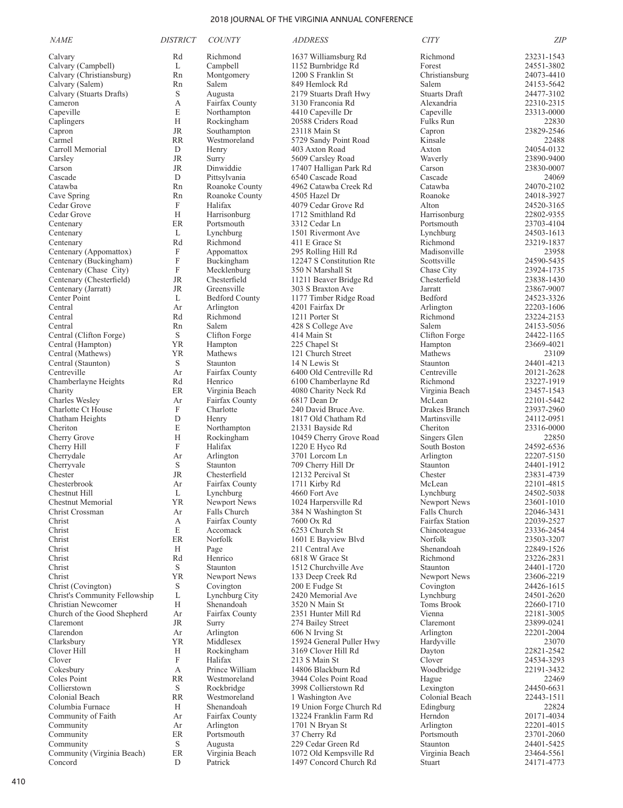| <b>NAME</b>                             | <b>DISTRICT</b>           | <b>COUNTY</b>                      | <b>ADDRESS</b>                               | <b>CITY</b>                   | <b>ZIP</b>               |
|-----------------------------------------|---------------------------|------------------------------------|----------------------------------------------|-------------------------------|--------------------------|
| Calvary                                 | Rd                        | Richmond                           | 1637 Williamsburg Rd                         | Richmond                      | 23231-1543               |
| Calvary (Campbell)                      | L                         | Campbell                           | 1152 Burnbridge Rd                           | Forest                        | 24551-3802               |
| Calvary (Christiansburg)                | Rn                        | Montgomery                         | 1200 S Franklin St                           | Christiansburg                | 24073-4410               |
| Calvary (Salem)                         | Rn                        | Salem                              | 849 Hemlock Rd                               | Salem                         | 24153-5642               |
| Calvary (Stuarts Drafts)                | S                         | Augusta                            | 2179 Stuarts Draft Hwy                       | <b>Stuarts Draft</b>          | 24477-3102               |
| Cameron                                 | А                         | Fairfax County                     | 3130 Franconia Rd                            | Alexandria                    | 22310-2315               |
| Capeville<br>Caplingers                 | E<br>H                    | Northampton<br>Rockingham          | 4410 Capeville Dr<br>20588 Criders Road      | Capeville<br><b>Fulks Run</b> | 23313-0000<br>22830      |
| Capron                                  | <b>JR</b>                 | Southampton                        | 23118 Main St                                | Capron                        | 23829-2546               |
| Carmel                                  | <b>RR</b>                 | Westmoreland                       | 5729 Sandy Point Road                        | Kinsale                       | 22488                    |
| Carroll Memorial                        | D                         | Henry                              | 403 Axton Road                               | Axton                         | 24054-0132               |
| Carsley                                 | JR                        | Surry                              | 5609 Carsley Road                            | Waverly                       | 23890-9400               |
| Carson                                  | JR                        | Dinwiddie                          | 17407 Halligan Park Rd                       | Carson                        | 23830-0007               |
| Cascade                                 | D                         | Pittsylvania                       | 6540 Cascade Road                            | Cascade                       | 24069                    |
| Catawba                                 | Rn                        | Roanoke County                     | 4962 Catawba Creek Rd                        | Catawba                       | 24070-2102               |
| Cave Spring                             | Rn<br>F                   | Roanoke County                     | 4505 Hazel Dr                                | Roanoke                       | 24018-3927               |
| Cedar Grove<br>Cedar Grove              | H                         | Halifax<br>Harrisonburg            | 4079 Cedar Grove Rd<br>1712 Smithland Rd     | Alton<br>Harrisonburg         | 24520-3165<br>22802-9355 |
| Centenary                               | ER                        | Portsmouth                         | 3312 Cedar Ln                                | Portsmouth                    | 23703-4104               |
| Centenary                               | L                         | Lynchburg                          | 1501 Rivermont Ave                           | Lynchburg                     | 24503-1613               |
| Centenary                               | Rd                        | Richmond                           | 411 E Grace St                               | Richmond                      | 23219-1837               |
| Centenary (Appomattox)                  | F                         | Appomattox                         | 295 Rolling Hill Rd                          | Madisonville                  | 23958                    |
| Centenary (Buckingham)                  | $\boldsymbol{\mathrm{F}}$ | Buckingham                         | 12247 S Constitution Rte                     | Scottsville                   | 24590-5435               |
| Centenary (Chase City)                  | $\boldsymbol{\mathrm{F}}$ | Mecklenburg                        | 350 N Marshall St                            | Chase City                    | 23924-1735               |
| Centenary (Chesterfield)                | JR                        | Chesterfield                       | 11211 Beaver Bridge Rd                       | Chesterfield                  | 23838-1430               |
| Centenary (Jarratt)                     | JR                        | Greensville                        | 303 S Braxton Ave                            | Jarratt                       | 23867-9007               |
| Center Point<br>Central                 | L<br>Ar                   | <b>Bedford County</b><br>Arlington | 1177 Timber Ridge Road<br>4201 Fairfax Dr    | Bedford<br>Arlington          | 24523-3326<br>22203-1606 |
| Central                                 | Rd                        | Richmond                           | 1211 Porter St                               | Richmond                      | 23224-2153               |
| Central                                 | Rn                        | Salem                              | 428 S College Ave                            | Salem                         | 24153-5056               |
| Central (Clifton Forge)                 | S                         | Clifton Forge                      | 414 Main St                                  | Clifton Forge                 | 24422-1165               |
| Central (Hampton)                       | YR                        | Hampton                            | 225 Chapel St                                | Hampton                       | 23669-4021               |
| Central (Mathews)                       | YR                        | Mathews                            | 121 Church Street                            | Mathews                       | 23109                    |
| Central (Staunton)                      | S                         | Staunton                           | 14 N Lewis St                                | Staunton                      | 24401-4213               |
| Centreville                             | Ar                        | Fairfax County                     | 6400 Old Centreville Rd                      | Centreville                   | 20121-2628               |
| Chamberlayne Heights                    | Rd                        | Henrico                            | 6100 Chamberlayne Rd                         | Richmond                      | 23227-1919               |
| Charity<br>Charles Wesley               | ER<br>Ar                  | Virginia Beach<br>Fairfax County   | 4080 Charity Neck Rd<br>6817 Dean Dr         | Virginia Beach<br>McLean      | 23457-1543<br>22101-5442 |
| Charlotte Ct House                      | F                         | Charlotte                          | 240 David Bruce Ave.                         | Drakes Branch                 | 23937-2960               |
| Chatham Heights                         | D                         | Henry                              | 1817 Old Chatham Rd                          | Martinsville                  | 24112-0951               |
| Cheriton                                | E                         | Northampton                        | 21331 Bayside Rd                             | Cheriton                      | 23316-0000               |
| Cherry Grove                            | H                         | Rockingham                         | 10459 Cherry Grove Road                      | Singers Glen                  | 22850                    |
| Cherry Hill                             | F                         | Halifax                            | 1220 E Hyco Rd                               | South Boston                  | 24592-6536               |
| Cherrydale                              | Ar                        | Arlington                          | 3701 Lorcom Ln                               | Arlington                     | 22207-5150               |
| Cherryvale                              | S                         | Staunton                           | 709 Cherry Hill Dr                           | Staunton                      | 24401-1912               |
| Chester<br>Chesterbrook                 | JR                        | Chesterfield                       | 12132 Percival St                            | Chester<br>McLean             | 23831-4739<br>22101-4815 |
| Chestnut Hill                           | Ar<br>L                   | Fairfax County<br>Lynchburg        | 1711 Kirby Rd<br>4660 Fort Ave               | Lynchburg                     | 24502-5038               |
| Chestnut Memorial                       | YR                        | Newport News                       | 1024 Harpersville Rd                         | Newport News                  | 23601-1010               |
| Christ Crossman                         | Ar                        | Falls Church                       | 384 N Washington St                          | Falls Church                  | 22046-3431               |
| Christ                                  | А                         | Fairfax County                     | 7600 Ox Rd                                   | <b>Fairfax Station</b>        | 22039-2527               |
| Christ                                  | E                         | Accomack                           | 6253 Church St                               | Chincoteague                  | 23336-2454               |
| Christ                                  | ER                        | Norfolk                            | 1601 E Bayview Blvd                          | Norfolk                       | 23503-3207               |
| Christ                                  | Н                         | Page                               | 211 Central Ave                              | Shenandoah                    | 22849-1526               |
| Christ                                  | Rd                        | Henrico<br>Staunton                | 6818 W Grace St<br>1512 Churchville Ave      | Richmond                      | 23226-2831               |
| Christ<br>Christ                        | S<br><b>YR</b>            | Newport News                       | 133 Deep Creek Rd                            | Staunton<br>Newport News      | 24401-1720<br>23606-2219 |
| Christ (Covington)                      | S                         | Covington                          | 200 E Fudge St                               | Covington                     | 24426-1615               |
| Christ's Community Fellowship           | L                         | Lynchburg City                     | 2420 Memorial Ave                            | Lynchburg                     | 24501-2620               |
| Christian Newcomer                      | H                         | Shenandoah                         | 3520 N Main St                               | <b>Toms Brook</b>             | 22660-1710               |
| Church of the Good Shepherd             | Ar                        | Fairfax County                     | 2351 Hunter Mill Rd                          | Vienna                        | 22181-3005               |
| Claremont                               | <b>JR</b>                 | Surry                              | 274 Bailey Street                            | Claremont                     | 23899-0241               |
| Clarendon                               | Ar                        | Arlington                          | 606 N Irving St                              | Arlington                     | 22201-2004               |
| Clarksbury                              | YR                        | Middlesex                          | 15924 General Puller Hwy                     | Hardyville                    | 23070                    |
| Clover Hill<br>Clover                   | Н<br>F                    | Rockingham                         | 3169 Clover Hill Rd                          | Dayton<br>Clover              | 22821-2542<br>24534-3293 |
| Cokesbury                               | А                         | Halifax<br>Prince William          | 213 S Main St<br>14806 Blackburn Rd          | Woodbridge                    | 22191-3432               |
| Coles Point                             | <b>RR</b>                 | Westmoreland                       | 3944 Coles Point Road                        | Hague                         | 22469                    |
| Collierstown                            | S                         | Rockbridge                         | 3998 Collierstown Rd                         | Lexington                     | 24450-6631               |
| Colonial Beach                          | <b>RR</b>                 | Westmoreland                       | 1 Washington Ave                             | Colonial Beach                | 22443-1511               |
| Columbia Furnace                        | H                         | Shenandoah                         | 19 Union Forge Church Rd                     | Edingburg                     | 22824                    |
| Community of Faith                      | Ar                        | Fairfax County                     | 13224 Franklin Farm Rd                       | Herndon                       | 20171-4034               |
| Community                               | Ar                        | Arlington                          | 1701 N Bryan St                              | Arlington                     | 22201-4015               |
| Community                               | ER                        | Portsmouth                         | 37 Cherry Rd                                 | Portsmouth                    | 23701-2060               |
| Community<br>Community (Virginia Beach) | S<br>ER                   | Augusta<br>Virginia Beach          | 229 Cedar Green Rd<br>1072 Old Kempsville Rd | Staunton<br>Virginia Beach    | 24401-5425<br>23464-5561 |
| Concord                                 | D                         | Patrick                            | 1497 Concord Church Rd                       | Stuart                        | 24171-4773               |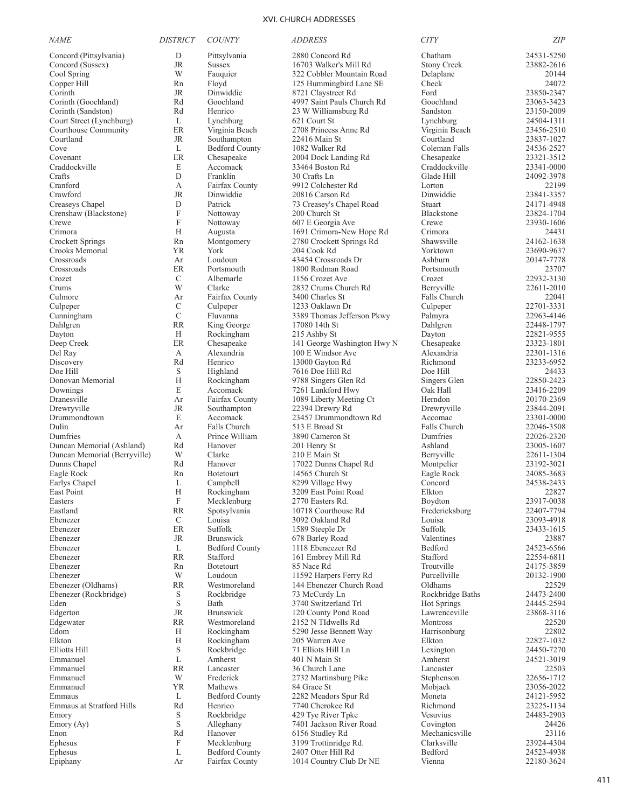| <i>NAME</i>                      | <b>DISTRICT</b>                        | <b>COUNTY</b>               | <i>ADDRESS</i>                                   | <b>CITY</b>                 | <b>ZIP</b>               |
|----------------------------------|----------------------------------------|-----------------------------|--------------------------------------------------|-----------------------------|--------------------------|
| Concord (Pittsylvania)           | D                                      | Pittsylvania                | 2880 Concord Rd                                  | Chatham                     | 24531-5250               |
| Concord (Sussex)                 | <b>JR</b>                              | <b>Sussex</b>               | 16703 Walker's Mill Rd                           | <b>Stony Creek</b>          | 23882-2616               |
| Cool Spring                      | W                                      | Fauquier                    | 322 Cobbler Mountain Road                        | Delaplane                   | 20144                    |
| Copper Hill                      | Rn                                     | Floyd                       | 125 Hummingbird Lane SE                          | Check                       | 24072                    |
| Corinth                          | JR                                     | Dinwiddie                   | 8721 Claystreet Rd                               | Ford                        | 23850-2347               |
| Corinth (Goochland)              | Rd                                     | Goochland                   | 4997 Saint Pauls Church Rd                       | Goochland                   | 23063-3423               |
| Corinth (Sandston)               | Rd                                     | Henrico                     | 23 W Williamsburg Rd                             | Sandston                    | 23150-2009               |
| Court Street (Lynchburg)         | L                                      | Lynchburg                   | 621 Court St                                     | Lynchburg                   | 24504-1311               |
| Courthouse Community             | ER                                     | Virginia Beach              | 2708 Princess Anne Rd                            | Virginia Beach              | 23456-2510               |
| Courtland                        | <b>JR</b>                              | Southampton                 | 22416 Main St                                    | Courtland                   | 23837-1027               |
| Cove                             | L                                      | <b>Bedford County</b>       | 1082 Walker Rd                                   | Coleman Falls               | 24536-2527               |
| Covenant<br>Craddockville        | ER<br>E                                | Chesapeake<br>Accomack      | 2004 Dock Landing Rd<br>33464 Boston Rd          | Chesapeake<br>Craddockville | 23321-3512<br>23341-0000 |
| Crafts                           | D                                      | Franklin                    | 30 Crafts Ln                                     | Glade Hill                  | 24092-3978               |
| Cranford                         | А                                      | Fairfax County              | 9912 Colchester Rd                               | Lorton                      | 22199                    |
| Crawford                         | <b>JR</b>                              | Dinwiddie                   | 20816 Carson Rd                                  | Dinwiddie                   | 23841-3357               |
| Creaseys Chapel                  | D                                      | Patrick                     | 73 Creasey's Chapel Road                         | Stuart                      | 24171-4948               |
| Crenshaw (Blackstone)            | F                                      | Nottoway                    | 200 Church St                                    | Blackstone                  | 23824-1704               |
| Crewe                            | F                                      | Nottoway                    | 607 E Georgia Ave                                | Crewe                       | 23930-1606               |
| Crimora                          | H                                      | Augusta                     | 1691 Crimora-New Hope Rd                         | Crimora                     | 24431                    |
| <b>Crockett Springs</b>          | Rn                                     | Montgomery                  | 2780 Crockett Springs Rd                         | Shawsville                  | 24162-1638               |
| Crooks Memorial                  | YR                                     | York                        | 204 Cook Rd                                      | Yorktown                    | 23690-9637               |
| Crossroads                       | Ar                                     | Loudoun                     | 43454 Crossroads Dr                              | Ashburn                     | 20147-7778               |
| Crossroads                       | ER                                     | Portsmouth                  | 1800 Rodman Road                                 | Portsmouth                  | 23707                    |
| Crozet                           | C                                      | Albemarle                   | 1156 Crozet Ave                                  | Crozet                      | 22932-3130               |
| Crums                            | W                                      | Clarke                      | 2832 Crums Church Rd                             | Berryville                  | 22611-2010               |
| Culmore                          | Ar                                     | Fairfax County              | 3400 Charles St                                  | Falls Church                | 22041                    |
| Culpeper                         | $\mathcal{C}$                          | Culpeper                    | 1233 Oaklawn Dr                                  | Culpeper                    | 22701-3331               |
| Cunningham                       | $\mathcal{C}$                          | Fluvanna                    | 3389 Thomas Jefferson Pkwy                       | Palmyra                     | 22963-4146               |
| Dahlgren                         | <b>RR</b>                              | King George                 | 17080 14th St                                    | Dahlgren                    | 22448-1797               |
| Dayton                           | Н                                      | Rockingham                  | 215 Ashby St                                     | Dayton                      | 22821-9555               |
| Deep Creek                       | ER<br>А                                | Chesapeake<br>Alexandria    | 141 George Washington Hwy N<br>100 E Windsor Ave | Chesapeake<br>Alexandria    | 23323-1801<br>22301-1316 |
| Del Ray<br>Discovery             | Rd                                     | Henrico                     | 13000 Gayton Rd                                  | Richmond                    | 23233-6952               |
| Doe Hill                         | S                                      | Highland                    | 7616 Doe Hill Rd                                 | Doe Hill                    | 24433                    |
| Donovan Memorial                 | H                                      | Rockingham                  | 9788 Singers Glen Rd                             | Singers Glen                | 22850-2423               |
| Downings                         | E                                      | Accomack                    | 7261 Lankford Hwy                                | Oak Hall                    | 23416-2209               |
| Dranesville                      | Ar                                     | Fairfax County              | 1089 Liberty Meeting Ct                          | Herndon                     | 20170-2369               |
| Drewryville                      | <b>JR</b>                              | Southampton                 | 22394 Drewry Rd                                  | Drewryville                 | 23844-2091               |
| Drummondtown                     | E                                      | Accomack                    | 23457 Drummondtown Rd                            | Accomac                     | 23301-0000               |
| Dulin                            | Ar                                     | Falls Church                | 513 E Broad St                                   | Falls Church                | 22046-3508               |
| Dumfries                         | А                                      | Prince William              | 3890 Cameron St                                  | Dumfries                    | 22026-2320               |
| Duncan Memorial (Ashland)        | Rd                                     | Hanover                     | 201 Henry St                                     | Ashland                     | 23005-1607               |
| Duncan Memorial (Berryville)     | W                                      | Clarke                      | 210 E Main St                                    | Berryville                  | 22611-1304               |
| Dunns Chapel                     | Rd                                     | Hanover                     | 17022 Dunns Chapel Rd                            | Montpelier                  | 23192-3021               |
| Eagle Rock                       | Rn                                     | Botetourt                   | 14565 Church St                                  | Eagle Rock                  | 24085-3683               |
| Earlys Chapel                    | L                                      | Campbell                    | 8299 Village Hwy                                 | Concord                     | 24538-2433               |
| East Point                       | H                                      | Rockingham                  | 3209 East Point Road                             | Elkton<br>Boydton           | 22827                    |
| Easters<br>Eastland              | $\boldsymbol{\mathrm{F}}$<br><b>RR</b> | Mecklenburg<br>Spotsylvania | 2770 Easters Rd.<br>10718 Courthouse Rd          | Fredericksburg              | 23917-0038<br>22407-7794 |
| Ebenezer                         | C                                      | Louisa                      | 3092 Oakland Rd                                  | Louisa                      | 23093-4918               |
| Ebenezer                         | ER                                     | Suffolk                     | 1589 Steeple Dr                                  | Suffolk                     | 23433-1615               |
| Ebenezer                         | JR                                     | <b>Brunswick</b>            | 678 Barley Road                                  | Valentines                  | 23887                    |
| Ebenezer                         | L                                      | <b>Bedford County</b>       | 1118 Ebeneezer Rd                                | Bedford                     | 24523-6566               |
| Ebenezer                         | <b>RR</b>                              | Stafford                    | 161 Embrey Mill Rd                               | Stafford                    | 22554-6811               |
| Ebenezer                         | Rn                                     | Botetourt                   | 85 Nace Rd                                       | Troutville                  | 24175-3859               |
| Ebenezer                         | W                                      | Loudoun                     | 11592 Harpers Ferry Rd                           | Purcellville                | 20132-1900               |
| Ebenezer (Oldhams)               | <b>RR</b>                              | Westmoreland                | 144 Ebenezer Church Road                         | Oldhams                     | 22529                    |
| Ebenezer (Rockbridge)            | S                                      | Rockbridge                  | 73 McCurdy Ln                                    | Rockbridge Baths            | 24473-2400               |
| Eden                             | $\mathbf S$                            | Bath                        | 3740 Switzerland Trl                             | Hot Springs                 | 24445-2594               |
| Edgerton                         | <b>JR</b>                              | <b>Brunswick</b>            | 120 County Pond Road                             | Lawrenceville               | 23868-3116               |
| Edgewater                        | <b>RR</b>                              | Westmoreland                | 2152 N TIdwells Rd                               | <b>Montross</b>             | 22520                    |
| Edom                             | Н                                      | Rockingham                  | 5290 Jesse Bennett Way                           | Harrisonburg                | 22802                    |
| Elkton                           | H                                      | Rockingham                  | 205 Warren Ave                                   | Elkton                      | 22827-1032               |
| <b>Elliotts Hill</b><br>Emmanuel | $\mathbf S$<br>L                       | Rockbridge<br>Amherst       | 71 Elliots Hill Ln<br>401 N Main St              | Lexington<br>Amherst        | 24450-7270<br>24521-3019 |
| Emmanuel                         | <b>RR</b>                              | Lancaster                   | 36 Church Lane                                   | Lancaster                   | 22503                    |
| Emmanuel                         | W                                      | Frederick                   | 2732 Martinsburg Pike                            | Stephenson                  | 22656-1712               |
| Emmanuel                         | <b>YR</b>                              | Mathews                     | 84 Grace St                                      | Mobjack                     | 23056-2022               |
| Emmaus                           | L                                      | <b>Bedford County</b>       | 2282 Meadors Spur Rd                             | Moneta                      | 24121-5952               |
| <b>Emmaus at Stratford Hills</b> | Rd                                     | Henrico                     | 7740 Cherokee Rd                                 | Richmond                    | 23225-1134               |
| Emory                            | S                                      | Rockbridge                  | 429 Tye River Tpke                               | Vesuvius                    | 24483-2903               |
| Emory (Ay)                       | $\mathbf S$                            | Alleghany                   | 7401 Jackson River Road                          | Covington                   | 24426                    |
| Enon                             | Rd                                     | Hanover                     | 6156 Studley Rd                                  | Mechanicsville              | 23116                    |
| Ephesus                          | F                                      | Mecklenburg                 | 3199 Trottinridge Rd.                            | Clarksville                 | 23924-4304               |
| Ephesus                          | L                                      | <b>Bedford County</b>       | 2407 Otter Hill Rd                               | Bedford                     | 24523-4938               |
| Epiphany                         | Ar                                     | Fairfax County              | 1014 Country Club Dr NE                          | Vienna                      | 22180-3624               |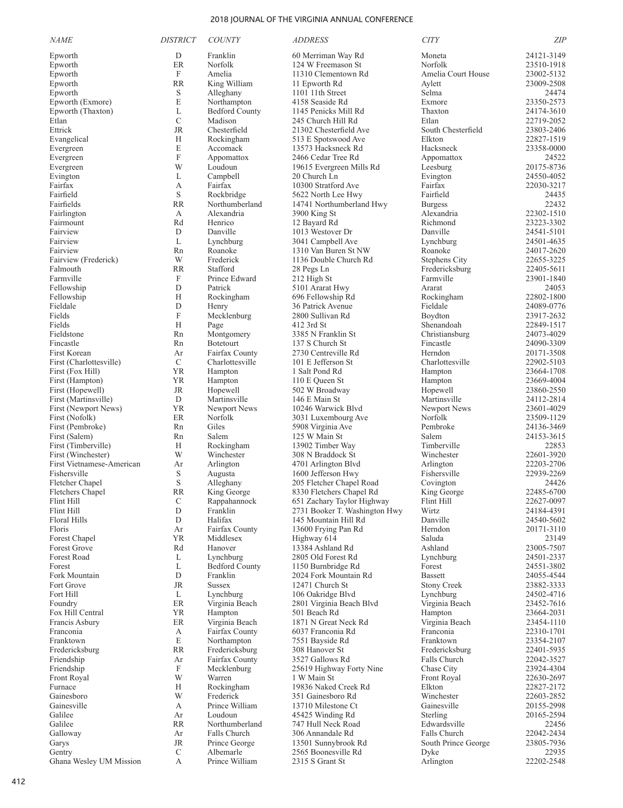| <b>NAME</b>                              | <b>DISTRICT</b>           | <b>COUNTY</b>                      | <i>ADDRESS</i>                                 | <b>CITY</b>                         | ΖIΡ                      |
|------------------------------------------|---------------------------|------------------------------------|------------------------------------------------|-------------------------------------|--------------------------|
| Epworth                                  | D                         | Franklin                           | 60 Merriman Way Rd                             | Moneta                              | 24121-3149               |
| Epworth                                  | ER                        | Norfolk                            | 124 W Freemason St                             | Norfolk                             | 23510-1918               |
| Epworth                                  | F                         | Amelia                             | 11310 Clementown Rd                            | Amelia Court House                  | 23002-5132               |
| Epworth                                  | <b>RR</b>                 | King William                       | 11 Epworth Rd                                  | Aylett                              | 23009-2508               |
| Epworth                                  | S                         | Alleghany                          | 1101 11th Street                               | Selma                               | 24474                    |
| Epworth (Exmore)                         | E                         | Northampton                        | 4158 Seaside Rd<br>1145 Penicks Mill Rd        | Exmore                              | 23350-2573               |
| Epworth (Thaxton)<br>Etlan               | L<br>C                    | <b>Bedford County</b><br>Madison   | 245 Church Hill Rd                             | Thaxton<br>Etlan                    | 24174-3610<br>22719-2052 |
| Ettrick                                  | <b>JR</b>                 | Chesterfield                       | 21302 Chesterfield Ave                         | South Chesterfield                  | 23803-2406               |
| Evangelical                              | Н                         | Rockingham                         | 513 E Spotswood Ave                            | Elkton                              | 22827-1519               |
| Evergreen                                | E                         | Accomack                           | 13573 Hacksneck Rd                             | Hacksneck                           | 23358-0000               |
| Evergreen                                | F                         | Appomattox                         | 2466 Cedar Tree Rd                             | Appomattox                          | 24522                    |
| Evergreen                                | W                         | Loudoun                            | 19615 Evergreen Mills Rd                       | Leesburg                            | 20175-8736               |
| Evington                                 | L                         | Campbell                           | 20 Church Ln                                   | Evington                            | 24550-4052               |
| Fairfax                                  | А                         | Fairfax                            | 10300 Stratford Ave                            | Fairfax                             | 22030-3217               |
| Fairfield<br>Fairfields                  | S<br><b>RR</b>            | Rockbridge<br>Northumberland       | 5622 North Lee Hwy<br>14741 Northumberland Hwy | Fairfield                           | 24435<br>22432           |
| Fairlington                              | А                         | Alexandria                         | 3900 King St                                   | <b>Burgess</b><br>Alexandria        | 22302-1510               |
| Fairmount                                | Rd                        | Henrico                            | 12 Bayard Rd                                   | Richmond                            | 23223-3302               |
| Fairview                                 | D                         | Danville                           | 1013 Westover Dr                               | Danville                            | 24541-5101               |
| Fairview                                 | L                         | Lynchburg                          | 3041 Campbell Ave                              | Lynchburg                           | 24501-4635               |
| Fairview                                 | Rn                        | Roanoke                            | 1310 Van Buren St NW                           | Roanoke                             | 24017-2620               |
| Fairview (Frederick)                     | W                         | Frederick                          | 1136 Double Church Rd                          | <b>Stephens City</b>                | 22655-3225               |
| Falmouth                                 | <b>RR</b>                 | Stafford                           | 28 Pegs Ln                                     | Fredericksburg                      | 22405-5611               |
| Farmville                                | F                         | Prince Edward                      | 212 High St                                    | Farmville                           | 23901-1840               |
| Fellowship                               | D                         | Patrick                            | 5101 Ararat Hwy                                | Ararat                              | 24053                    |
| Fellowship<br>Fieldale                   | Н<br>D                    | Rockingham<br>Henry                | 696 Fellowship Rd<br>36 Patrick Avenue         | Rockingham<br>Fieldale              | 22802-1800<br>24089-0776 |
| Fields                                   | $\boldsymbol{\mathrm{F}}$ | Mecklenburg                        | 2800 Sullivan Rd                               | Boydton                             | 23917-2632               |
| Fields                                   | Н                         | Page                               | 412 3rd St                                     | Shenandoah                          | 22849-1517               |
| Fieldstone                               | Rn                        | Montgomery                         | 3385 N Franklin St                             | Christiansburg                      | 24073-4029               |
| Fincastle                                | Rn                        | <b>Botetourt</b>                   | 137 S Church St                                | Fincastle                           | 24090-3309               |
| First Korean                             | Ar                        | Fairfax County                     | 2730 Centreville Rd                            | Herndon                             | 20171-3508               |
| First (Charlottesville)                  | C                         | Charlottesville                    | 101 E Jefferson St                             | Charlottesville                     | 22902-5103               |
| First (Fox Hill)                         | YR                        | Hampton                            | 1 Salt Pond Rd                                 | Hampton                             | 23664-1708               |
| First (Hampton)                          | YR                        | Hampton                            | 110 E Queen St                                 | Hampton                             | 23669-4004               |
| First (Hopewell)<br>First (Martinsville) | JR<br>D                   | Hopewell<br>Martinsville           | 502 W Broadway<br>146 E Main St                | Hopewell<br>Martinsville            | 23860-2550<br>24112-2814 |
| First (Newport News)                     | YR                        | Newport News                       | 10246 Warwick Blvd                             | Newport News                        | 23601-4029               |
| First (Nofolk)                           | ER                        | Norfolk                            | 3031 Luxembourg Ave                            | Norfolk                             | 23509-1129               |
| First (Pembroke)                         | Rn                        | Giles                              | 5908 Virginia Ave                              | Pembroke                            | 24136-3469               |
| First (Salem)                            | Rn                        | Salem                              | 125 W Main St                                  | Salem                               | 24153-3615               |
| First (Timberville)                      | Н                         | Rockingham                         | 13902 Timber Way                               | Timberville                         | 22853                    |
| First (Winchester)                       | W                         | Winchester                         | 308 N Braddock St                              | Winchester                          | 22601-3920               |
| First Vietnamese-American                | Ar                        | Arlington                          | 4701 Arlington Blvd                            | Arlington                           | 22203-2706               |
| Fishersville<br>Fletcher Chapel          | S<br>S                    | Augusta<br>Alleghany               | 1600 Jefferson Hwy<br>205 Fletcher Chapel Road | Fishersville<br>Covington           | 22939-2269<br>24426      |
| Fletchers Chapel                         | <b>RR</b>                 | King George                        | 8330 Fletchers Chapel Rd                       | King George                         | 22485-6700               |
| Flint Hill                               | С                         | Rappahannock                       | 651 Zachary Taylor Highway                     | Flint Hill                          | 22627-0097               |
| Flint Hill                               | ${\rm D}$                 | Franklin                           | 2731 Booker T. Washington Hwy                  | Wirtz                               | 24184-4391               |
| Floral Hills                             | D                         | Halifax                            | 145 Mountain Hill Rd                           | Danville                            | 24540-5602               |
| Floris                                   | Ar                        | Fairfax County                     | 13600 Frying Pan Rd                            | Herndon                             | 20171-3110               |
| Forest Chapel                            | YR                        | Middlesex                          | Highway 614                                    | Saluda                              | 23149                    |
| Forest Grove                             | Rd                        | Hanover                            | 13384 Ashland Rd                               | Ashland                             | 23005-7507               |
| Forest Road<br>Forest                    | L<br>L                    | Lynchburg<br><b>Bedford County</b> | 2805 Old Forest Rd<br>1150 Burnbridge Rd       | Lynchburg<br>Forest                 | 24501-2337<br>24551-3802 |
| Fork Mountain                            | D                         | Franklin                           | 2024 Fork Mountain Rd                          | <b>Bassett</b>                      | 24055-4544               |
| Fort Grove                               | <b>JR</b>                 | <b>Sussex</b>                      | 12471 Church St                                | <b>Stony Creek</b>                  | 23882-3333               |
| Fort Hill                                | L                         | Lynchburg                          | 106 Oakridge Blvd                              | Lynchburg                           | 24502-4716               |
| Foundry                                  | ER                        | Virginia Beach                     | 2801 Virginia Beach Blvd                       | Virginia Beach                      | 23452-7616               |
| Fox Hill Central                         | YR                        | Hampton                            | 501 Beach Rd                                   | Hampton                             | 23664-2031               |
| Francis Asbury                           | ER                        | Virginia Beach                     | 1871 N Great Neck Rd                           | Virginia Beach                      | 23454-1110               |
| Franconia                                | А                         | Fairfax County                     | 6037 Franconia Rd                              | Franconia                           | 22310-1701               |
| Franktown                                | E                         | Northampton                        | 7551 Bayside Rd                                | Franktown                           | 23354-2107               |
| Fredericksburg<br>Friendship             | RR<br>Ar                  | Fredericksburg<br>Fairfax County   | 308 Hanover St<br>3527 Gallows Rd              | Fredericksburg<br>Falls Church      | 22401-5935<br>22042-3527 |
| Friendship                               | F                         | Mecklenburg                        | 25619 Highway Forty Nine                       | Chase City                          | 23924-4304               |
| Front Royal                              | W                         | Warren                             | 1 W Main St                                    | Front Royal                         | 22630-2697               |
| Furnace                                  | Н                         | Rockingham                         | 19836 Naked Creek Rd                           | Elkton                              | 22827-2172               |
| Gainesboro                               | W                         | Frederick                          | 351 Gainesboro Rd                              | Winchester                          | 22603-2852               |
| Gainesville                              | А                         | Prince William                     | 13710 Milestone Ct                             | Gainesville                         | 20155-2998               |
| Galilee                                  | Ar                        | Loudoun                            | 45425 Winding Rd                               | Sterling                            | 20165-2594               |
| Galilee                                  | RR                        | Northumberland                     | 747 Hull Neck Road                             | Edwardsville                        | 22456                    |
| Galloway<br>Garys                        | Ar<br>JR                  | Falls Church<br>Prince George      | 306 Annandale Rd<br>13501 Sunnybrook Rd        | Falls Church<br>South Prince George | 22042-2434<br>23805-7936 |
| Gentry                                   | C                         | Albemarle                          | 2565 Boonesville Rd                            | Dyke                                | 22935                    |
| Ghana Wesley UM Mission                  | А                         | Prince William                     | 2315 S Grant St                                | Arlington                           | 22202-2548               |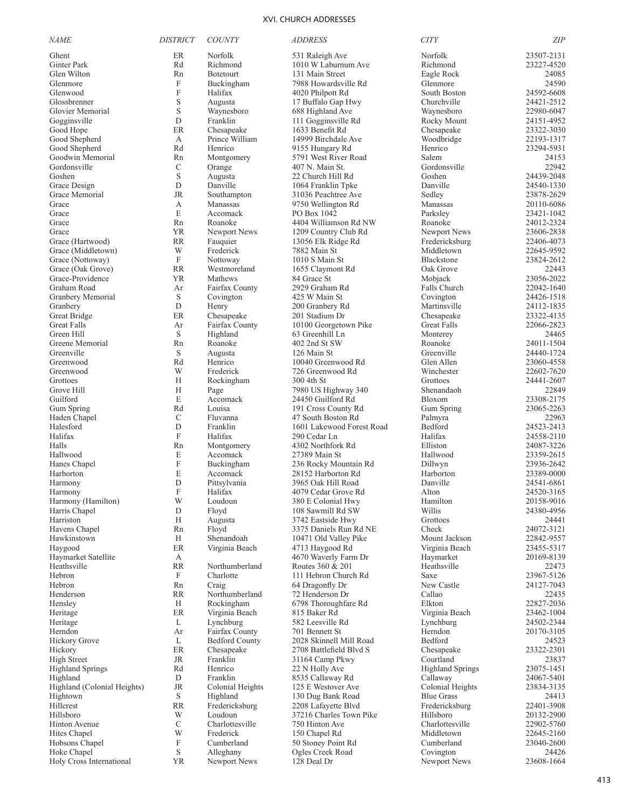| <b>NAME</b>                 | <b>DISTRICT</b>           | <b>COUNTY</b>         | <b>ADDRESS</b>            | <b>CITY</b>             | <b>ZIP</b> |
|-----------------------------|---------------------------|-----------------------|---------------------------|-------------------------|------------|
| Ghent                       | ER                        | Norfolk               | 531 Raleigh Ave           | Norfolk                 | 23507-2131 |
| Ginter Park                 | Rd                        | Richmond              | 1010 W Laburnum Ave       | Richmond                | 23227-4520 |
| Glen Wilton                 | Rn                        | <b>Botetourt</b>      | 131 Main Street           | Eagle Rock              | 24085      |
| Glenmore                    | $\mathbf F$               | Buckingham            | 7988 Howardsville Rd      | Glenmore                | 24590      |
| Glenwood                    | $\boldsymbol{F}$          | Halifax               | 4020 Philpott Rd          | South Boston            | 24592-6608 |
| Glossbrenner                | S                         | Augusta               | 17 Buffalo Gap Hwy        | Churchville             | 24421-2512 |
| Glovier Memorial            | S                         | Waynesboro            | 688 Highland Ave          | Waynesboro              | 22980-6047 |
| Gogginsville                | D                         | Franklin              | 111 Gogginsville Rd       | Rocky Mount             | 24151-4952 |
| Good Hope                   | ER                        | Chesapeake            | 1633 Benefit Rd           | Chesapeake              | 23322-3030 |
| Good Shepherd               | А                         | Prince William        | 14999 Birchdale Ave       | Woodbridge              | 22193-1317 |
| Good Shepherd               | Rd                        | Henrico               | 9155 Hungary Rd           | Henrico                 | 23294-5931 |
| Goodwin Memorial            | Rn                        | Montgomery            | 5791 West River Road      | Salem                   | 24153      |
| Gordonsville                | $\mathcal{C}$             | Orange                | 407 N. Main St.           | Gordonsville            | 22942      |
| Goshen                      | S                         | Augusta               | 22 Church Hill Rd         | Goshen                  | 24439-2048 |
| Grace Design                | D                         | Danville              | 1064 Franklin Tpke        | Danville                | 24540-1330 |
| Grace Memorial              | <b>JR</b>                 | Southampton           | 31036 Peachtree Ave       | Sedley                  | 23878-2629 |
| Grace                       | A                         | Manassas              | 9750 Wellington Rd        | Manassas                | 20110-6086 |
| Grace                       | E                         | Accomack              | PO Box 1042               | Parksley                | 23421-1042 |
| Grace                       | Rn                        | Roanoke               | 4404 Williamson Rd NW     | Roanoke                 | 24012-2324 |
| Grace                       | YR                        | Newport News          | 1209 Country Club Rd      | Newport News            | 23606-2838 |
| Grace (Hartwood)            | <b>RR</b>                 | Fauquier              | 13056 Elk Ridge Rd        | Fredericksburg          | 22406-4073 |
| Grace (Middletown)          | W                         | Frederick             | 7882 Main St              | Middletown              | 22645-9592 |
| Grace (Nottoway)            | $\mathbf F$               | Nottoway              | 1010 S Main St            | Blackstone              | 23824-2612 |
| Grace (Oak Grove)           | <b>RR</b>                 | Westmoreland          | 1655 Claymont Rd          | Oak Grove               | 22443      |
| Grace-Providence            | <b>YR</b>                 | Mathews               | 84 Grace St               | Mobjack                 | 23056-2022 |
| Graham Road                 | Ar                        | Fairfax County        | 2929 Graham Rd            | Falls Church            | 22042-1640 |
| Granbery Memorial           | $\mathbf S$               | Covington             | 425 W Main St             | Covington               | 24426-1518 |
| Granbery                    | D                         | Henry                 | 200 Granbery Rd           | Martinsville            | 24112-1835 |
| Great Bridge                | ER                        | Chesapeake            | 201 Stadium Dr            | Chesapeake              | 23322-4135 |
| <b>Great Falls</b>          | Ar                        | Fairfax County        | 10100 Georgetown Pike     | <b>Great Falls</b>      | 22066-2823 |
| Green Hill                  | S                         | Highland              | 63 Greenhill Ln           | Monterey                | 24465      |
| Greene Memorial             | Rn                        | Roanoke               | 402 2nd St SW             | Roanoke                 | 24011-1504 |
| Greenville                  | $\mathbf S$               | Augusta               | 126 Main St               | Greenville              | 24440-1724 |
| Greenwood                   | Rd                        | Henrico               | 10040 Greenwood Rd        | Glen Allen              | 23060-4558 |
| Greenwood                   | W                         | Frederick             | 726 Greenwood Rd          | Winchester              | 22602-7620 |
| Grottoes                    | H                         | Rockingham            | 300 4th St                | Grottoes                | 24441-2607 |
| Grove Hill                  | H                         | Page                  | 7980 US Highway 340       | Shenandaoh              | 22849      |
| Guilford                    | E                         | Accomack              | 24450 Guilford Rd         | Bloxom                  | 23308-2175 |
| Gum Spring                  | Rd                        | Louisa                | 191 Cross County Rd       | Gum Spring              | 23065-2263 |
| Haden Chapel                | $\mathcal{C}$             | Fluvanna              | 47 South Boston Rd        | Palmyra                 | 22963      |
| Halesford                   | $\mathbf D$               | Franklin              | 1601 Lakewood Forest Road | Bedford                 | 24523-2413 |
| Halifax                     | $\mathbf F$               | Halifax               | 290 Cedar Ln              | Halifax                 | 24558-2110 |
| Halls                       | Rn                        | Montgomery            | 4302 Northfork Rd         | Elliston                | 24087-3226 |
| Hallwood                    | E                         | Accomack              | 27389 Main St             | Hallwood                | 23359-2615 |
| Hanes Chapel                | $\boldsymbol{\mathrm{F}}$ | Buckingham            | 236 Rocky Mountain Rd     | Dillwyn                 | 23936-2642 |
| Harborton                   | E                         | Accomack              | 28152 Harborton Rd        | Harborton               | 23389-0000 |
| Harmony                     | D                         | Pittsylvania          | 3965 Oak Hill Road        | Danville                | 24541-6861 |
| Harmony                     | F                         | Halifax               | 4079 Cedar Grove Rd       | Alton                   | 24520-3165 |
| Harmony (Hamilton)          | W                         | Loudoun               | 380 E Colonial Hwy        | Hamilton                | 20158-9016 |
| Harris Chapel               | D                         | Floyd                 | 108 Sawmill Rd SW         | Willis                  | 24380-4956 |
| Harriston                   | H                         | Augusta               | 3742 Eastside Hwy         | Grottoes                | 24441      |
| Havens Chapel               | Rn                        | Floyd                 | 3375 Daniels Run Rd NE    | Check                   | 24072-3121 |
| Hawkinstown                 | H                         | Shenandoah            | 10471 Old Valley Pike     | Mount Jackson           | 22842-9557 |
| Haygood                     | ER                        | Virginia Beach        | 4713 Haygood Rd           | Virginia Beach          | 23455-5317 |
| Haymarket Satellite         | А                         |                       | 4670 Waverly Farm Dr      | Haymarket               | 20169-8139 |
| Heathsville                 | <b>RR</b>                 | Northumberland        | Routes 360 & 201          | Heathsville             | 22473      |
| Hebron                      | $\mathbf F$               | Charlotte             | 111 Hebron Church Rd      | Saxe                    | 23967-5126 |
| Hebron                      | Rn                        | Craig                 | 64 Dragonfly Dr           | New Castle              | 24127-7043 |
| Henderson                   | <b>RR</b>                 | Northumberland        | 72 Henderson Dr           | Callao                  | 22435      |
| Hensley                     | Н                         | Rockingham            | 6798 Thoroughfare Rd      | Elkton                  | 22827-2036 |
| Heritage                    | ER                        | Virginia Beach        | 815 Baker Rd              | Virginia Beach          | 23462-1004 |
| Heritage                    | L                         | Lynchburg             | 582 Leesville Rd          | Lynchburg               | 24502-2344 |
| Herndon                     | Ar                        | Fairfax County        | 701 Bennett St            | Herndon                 | 20170-3105 |
| Hickory Grove               | L                         | <b>Bedford County</b> | 2028 Skinnell Mill Road   | Bedford                 | 24523      |
| Hickory                     | $\rm ER$                  | Chesapeake            | 2708 Battlefield Blvd S   | Chesapeake              | 23322-2301 |
| <b>High Street</b>          | JR                        | Franklin              | 31164 Camp Pkwy           | Courtland               | 23837      |
| <b>Highland Springs</b>     | Rd                        | Henrico               | 22 N Holly Ave            | <b>Highland Springs</b> | 23075-1451 |
| Highland                    | D                         | Franklin              | 8535 Callaway Rd          | Callaway                | 24067-5401 |
| Highland (Colonial Heights) | <b>JR</b>                 | Colonial Heights      | 125 E Westover Ave        | Colonial Heights        | 23834-3135 |
| Hightown                    | S                         | Highland              | 130 Dug Bank Road         | <b>Blue Grass</b>       | 24413      |
| Hillcrest                   | RR                        | Fredericksburg        | 2208 Lafayette Blvd       | Fredericksburg          | 22401-3908 |
| Hillsboro                   | W                         | Loudoun               | 37216 Charles Town Pike   | Hillsboro               | 20132-2900 |
| Hinton Avenue               | $\mathcal{C}$             | Charlottesville       | 750 Hinton Ave            | Charlottesville         | 22902-5760 |
| Hites Chapel                | W                         | Frederick             | 150 Chapel Rd             | Middletown              | 22645-2160 |
| Hobsons Chapel              | F                         | Cumberland            | 50 Stoney Point Rd        | Cumberland              | 23040-2600 |
| Hoke Chapel                 | $\mathbf S$               | Alleghany             | Ogles Creek Road          | Covington               | 24426      |
| Holy Cross International    | <b>YR</b>                 | Newport News          | 128 Deal Dr               | Newport News            | 23608-1664 |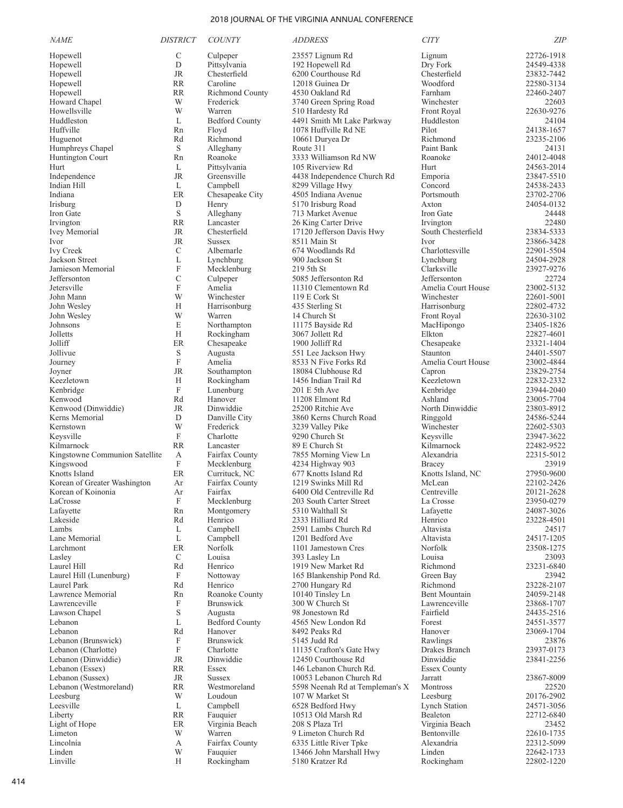| <b>NAME</b>                           | <b>DISTRICT</b> | <b>COUNTY</b>              | <b>ADDRESS</b>                                     | <b>CITY</b>                      | <b>ZIP</b>               |
|---------------------------------------|-----------------|----------------------------|----------------------------------------------------|----------------------------------|--------------------------|
| Hopewell                              | $\mathcal{C}$   | Culpeper                   | 23557 Lignum Rd                                    | Lignum                           | 22726-1918               |
| Hopewell                              | D               | Pittsylvania               | 192 Hopewell Rd                                    | Dry Fork                         | 24549-4338               |
| Hopewell                              | <b>JR</b>       | Chesterfield               | 6200 Courthouse Rd                                 | Chesterfield                     | 23832-7442               |
| Hopewell                              | <b>RR</b>       | Caroline                   | 12018 Guinea Dr                                    | Woodford                         | 22580-3134               |
| Hopewell                              | <b>RR</b>       | <b>Richmond County</b>     | 4530 Oakland Rd                                    | Farnham                          | 22460-2407               |
| Howard Chapel                         | W               | Frederick                  | 3740 Green Spring Road                             | Winchester                       | 22603                    |
| Howellsville                          | W               | Warren                     | 510 Hardesty Rd                                    | Front Royal                      | 22630-9276               |
| Huddleston                            | L               | <b>Bedford County</b>      | 4491 Smith Mt Lake Parkway                         | Huddleston                       | 24104                    |
| Huffville<br>Huguenot                 | Rn<br>Rd        | Floyd<br>Richmond          | 1078 Huffville Rd NE<br>10661 Duryea Dr            | Pilot<br>Richmond                | 24138-1657<br>23235-2106 |
| Humphreys Chapel                      | $\mathbf S$     | Alleghany                  | Route 311                                          | Paint Bank                       | 24131                    |
| Huntington Court                      | Rn              | Roanoke                    | 3333 Williamson Rd NW                              | Roanoke                          | 24012-4048               |
| Hurt                                  | L               | Pittsylvania               | 105 Riverview Rd                                   | Hurt                             | 24563-2014               |
| Independence                          | <b>JR</b>       | Greensville                | 4438 Independence Church Rd                        | Emporia                          | 23847-5510               |
| Indian Hill                           | L               | Campbell                   | 8299 Village Hwy                                   | Concord                          | 24538-2433               |
| Indiana                               | ER              | Chesapeake City            | 4505 Indiana Avenue                                | Portsmouth                       | 23702-2706               |
| Irisburg                              | D               | Henry                      | 5170 Irisburg Road                                 | Axton                            | 24054-0132               |
| Iron Gate                             | $\mathbf S$     | Alleghany                  | 713 Market Avenue                                  | Iron Gate                        | 24448                    |
| Irvington<br>Ivey Memorial            | <b>RR</b><br>JR | Lancaster<br>Chesterfield  | 26 King Carter Drive<br>17120 Jefferson Davis Hwy  | Irvington<br>South Chesterfield  | 22480<br>23834-5333      |
| Ivor                                  | <b>JR</b>       | <b>Sussex</b>              | 8511 Main St                                       | <b>Ivor</b>                      | 23866-3428               |
| <b>Ivy Creek</b>                      | C               | Albemarle                  | 674 Woodlands Rd                                   | Charlottesville                  | 22901-5504               |
| Jackson Street                        | L               | Lynchburg                  | 900 Jackson St                                     | Lynchburg                        | 24504-2928               |
| Jamieson Memorial                     | F               | Mecklenburg                | 219 5th St                                         | Clarksville                      | 23927-9276               |
| Jeffersonton                          | $\mathcal{C}$   | Culpeper                   | 5085 Jeffersonton Rd                               | Jeffersonton                     | 22724                    |
| Jetersville                           | F               | Amelia                     | 11310 Clementown Rd                                | Amelia Court House               | 23002-5132               |
| John Mann                             | W               | Winchester                 | 119 E Cork St                                      | Winchester                       | 22601-5001               |
| John Wesley                           | Н               | Harrisonburg               | 435 Sterling St                                    | Harrisonburg                     | 22802-4732               |
| John Wesley                           | W<br>E          | Warren                     | 14 Church St                                       | Front Royal<br>MacHipongo        | 22630-3102<br>23405-1826 |
| Johnsons<br>Jolletts                  | H               | Northampton<br>Rockingham  | 11175 Bayside Rd<br>3067 Jollett Rd                | Elkton                           | 22827-4601               |
| Jolliff                               | ER              | Chesapeake                 | 1900 Jolliff Rd                                    | Chesapeake                       | 23321-1404               |
| Jollivue                              | S               | Augusta                    | 551 Lee Jackson Hwy                                | Staunton                         | 24401-5507               |
| Journey                               | F               | Amelia                     | 8533 N Five Forks Rd                               | Amelia Court House               | 23002-4844               |
| Joyner                                | <b>JR</b>       | Southampton                | 18084 Clubhouse Rd                                 | Capron                           | 23829-2754               |
| Keezletown                            | Н               | Rockingham                 | 1456 Indian Trail Rd                               | Keezletown                       | 22832-2332               |
| Kenbridge                             | F               | Lunenburg                  | $201 \text{ E}$ 5th Ave                            | Kenbridge                        | 23944-2040               |
| Kenwood                               | Rd              | Hanover                    | 11208 Elmont Rd                                    | Ashland                          | 23005-7704               |
| Kenwood (Dinwiddie)<br>Kerns Memorial | <b>JR</b><br>D  | Dinwiddie                  | 25200 Ritchie Ave                                  | North Dinwiddie                  | 23803-8912               |
| Kernstown                             | W               | Danville City<br>Frederick | 3860 Kerns Church Road<br>3239 Valley Pike         | Ringgold<br>Winchester           | 24586-5244<br>22602-5303 |
| Keysville                             | F               | Charlotte                  | 9290 Church St                                     | Keysville                        | 23947-3622               |
| Kilmarnock                            | <b>RR</b>       | Lancaster                  | 89 E Church St                                     | Kilmarnock                       | 22482-9522               |
| Kingstowne Communion Satellite        | А               | Fairfax County             | 7855 Morning View Ln                               | Alexandria                       | 22315-5012               |
| Kingswood                             | F               | Mecklenburg                | 4234 Highway 903                                   | Bracey                           | 23919                    |
| Knotts Island                         | $\rm ER$        | Currituck, NC              | 677 Knotts Island Rd                               | Knotts Island, NC                | 27950-9600               |
| Korean of Greater Washington          | Ar              | Fairfax County             | 1219 Swinks Mill Rd                                | McLean                           | 22102-2426               |
| Korean of Koinonia                    | Ar              | Fairfax                    | 6400 Old Centreville Rd                            | Centreville                      | 20121-2628               |
| LaCrosse<br>Lafayette                 | F<br>Rn         | Mecklenburg<br>Montgomery  | 203 South Carter Street<br>5310 Walthall St        | La Crosse<br>Lafayette           | 23950-0279<br>24087-3026 |
| Lakeside                              | Rd              | Henrico                    | 2333 Hilliard Rd                                   | Henrico                          | 23228-4501               |
| Lambs                                 | L               | Campbell                   | 2591 Lambs Church Rd                               | Altavista                        | 24517                    |
| Lane Memorial                         | L               | Campbell                   | 1201 Bedford Ave                                   | Altavista                        | 24517-1205               |
| Larchmont                             | ER              | Norfolk                    | 1101 Jamestown Cres                                | Norfolk                          | 23508-1275               |
| Lasley                                | $\mathcal{C}$   | Louisa                     | 393 Lasley Ln                                      | Louisa                           | 23093                    |
| Laurel Hill                           | Rd              | Henrico                    | 1919 New Market Rd                                 | Richmond                         | 23231-6840               |
| Laurel Hill (Lunenburg)               | F               | Nottoway                   | 165 Blankenship Pond Rd.                           | Green Bay                        | 23942                    |
| Laurel Park                           | Rd              | Henrico<br>Roanoke County  | 2700 Hungary Rd<br>10140 Tinsley Ln                | Richmond<br><b>Bent Mountain</b> | 23228-2107               |
| Lawrence Memorial<br>Lawrenceville    | Rn<br>F         | <b>Brunswick</b>           | 300 W Church St                                    | Lawrenceville                    | 24059-2148<br>23868-1707 |
| Lawson Chapel                         | S               | Augusta                    | 98 Jonestown Rd                                    | Fairfield                        | 24435-2516               |
| Lebanon                               | L               | <b>Bedford County</b>      | 4565 New London Rd                                 | Forest                           | 24551-3577               |
| Lebanon                               | Rd              | Hanover                    | 8492 Peaks Rd                                      | Hanover                          | 23069-1704               |
| Lebanon (Brunswick)                   | F               | <b>Brunswick</b>           | 5145 Judd Rd                                       | Rawlings                         | 23876                    |
| Lebanon (Charlotte)                   | F               | Charlotte                  | 11135 Crafton's Gate Hwy                           | Drakes Branch                    | 23937-0173               |
| Lebanon (Dinwiddie)                   | <b>JR</b>       | Dinwiddie                  | 12450 Courthouse Rd                                | Dinwiddie                        | 23841-2256               |
| Lebanon (Essex)                       | <b>RR</b>       | Essex                      | 146 Lebanon Church Rd.                             | <b>Essex County</b>              |                          |
| Lebanon (Sussex)                      | JR              | <b>Sussex</b>              | 10053 Lebanon Church Rd                            | Jarratt                          | 23867-8009               |
| Lebanon (Westmoreland)<br>Leesburg    | <b>RR</b><br>W  | Westmoreland<br>Loudoun    | 5598 Neenah Rd at Templeman's X<br>107 W Market St | Montross<br>Leesburg             | 22520<br>20176-2902      |
| Leesville                             | L               | Campbell                   | 6528 Bedford Hwy                                   | <b>Lynch Station</b>             | 24571-3056               |
| Liberty                               | <b>RR</b>       | Fauquier                   | 10513 Old Marsh Rd                                 | Bealeton                         | 22712-6840               |
| Light of Hope                         | ER              | Virginia Beach             | 208 S Plaza Trl                                    | Virginia Beach                   | 23452                    |
| Limeton                               | W               | Warren                     | 9 Limeton Church Rd                                | Bentonville                      | 22610-1735               |
| Lincolnia                             | А               | Fairfax County             | 6335 Little River Tpke                             | Alexandria                       | 22312-5099               |
| Linden                                | W               | Fauquier                   | 13466 John Marshall Hwy                            | Linden                           | 22642-1733               |
| Linville                              | H               | Rockingham                 | 5180 Kratzer Rd                                    | Rockingham                       | 22802-1220               |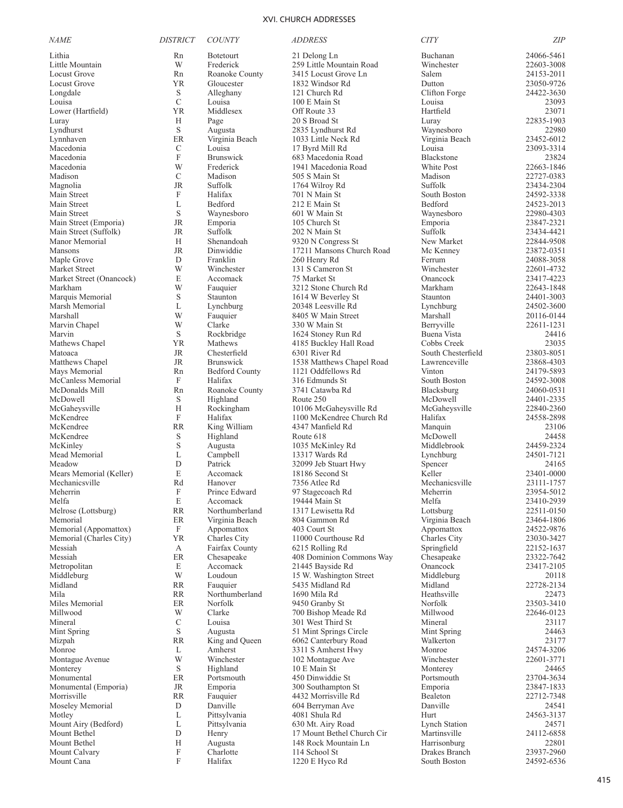| <i>NAME</i>                               | <b>DISTRICT</b>           | <b>COUNTY</b>           | <i>ADDRESS</i>                               | <b>CITY</b>               | <b>ZIP</b>               |
|-------------------------------------------|---------------------------|-------------------------|----------------------------------------------|---------------------------|--------------------------|
| Lithia                                    | Rn                        | <b>Botetourt</b>        | 21 Delong Ln                                 | Buchanan                  | 24066-5461               |
| Little Mountain                           | W                         | Frederick               | 259 Little Mountain Road                     | Winchester                | 22603-3008               |
| <b>Locust Grove</b>                       | Rn                        | Roanoke County          | 3415 Locust Grove Ln                         | Salem                     | 24153-2011               |
| <b>Locust Grove</b>                       | YR                        | Gloucester              | 1832 Windsor Rd                              | Dutton                    | 23050-9726               |
| Longdale                                  | S                         | Alleghany               | 121 Church Rd                                | Clifton Forge             | 24422-3630               |
| Louisa                                    | $\mathbf C$               | Louisa                  | 100 E Main St                                | Louisa                    | 23093                    |
| Lower (Hartfield)                         | YR                        | Middlesex               | Off Route 33                                 | Hartfield                 | 23071                    |
| Luray<br>Lyndhurst                        | H<br>S                    | Page<br>Augusta         | 20 S Broad St<br>2835 Lyndhurst Rd           | Luray<br>Waynesboro       | 22835-1903<br>22980      |
| Lynnhaven                                 | ER                        | Virginia Beach          | 1033 Little Neck Rd                          | Virginia Beach            | 23452-6012               |
| Macedonia                                 | C                         | Louisa                  | 17 Byrd Mill Rd                              | Louisa                    | 23093-3314               |
| Macedonia                                 | ${\bf F}$                 | <b>Brunswick</b>        | 683 Macedonia Road                           | Blackstone                | 23824                    |
| Macedonia                                 | W                         | Frederick               | 1941 Macedonia Road                          | White Post                | 22663-1846               |
| Madison                                   | $\mathcal{C}$             | Madison                 | 505 S Main St                                | Madison                   | 22727-0383               |
| Magnolia                                  | <b>JR</b>                 | Suffolk                 | 1764 Wilroy Rd                               | Suffolk                   | 23434-2304               |
| Main Street                               | F                         | Halifax                 | 701 N Main St                                | South Boston              | 24592-3338               |
| Main Street                               | L                         | Bedford                 | 212 E Main St                                | Bedford                   | 24523-2013               |
| Main Street                               | S                         | Waynesboro              | 601 W Main St                                | Waynesboro                | 22980-4303               |
| Main Street (Emporia)                     | JR                        | Emporia                 | 105 Church St                                | Emporia                   | 23847-2321               |
| Main Street (Suffolk)                     | JR                        | Suffolk                 | 202 N Main St                                | Suffolk                   | 23434-4421               |
| Manor Memorial                            | H                         | Shenandoah              | 9320 N Congress St                           | New Market                | 22844-9508               |
| Mansons                                   | $\rm JR$                  | Dinwiddie               | 17211 Mansons Church Road                    | Mc Kenney                 | 23872-0351               |
| Maple Grove                               | D<br>W                    | Franklin                | 260 Henry Rd                                 | Ferrum                    | 24088-3058               |
| Market Street<br>Market Street (Onancock) | $\mathbf E$               | Winchester<br>Accomack  | 131 S Cameron St<br>75 Market St             | Winchester<br>Onancock    | 22601-4732<br>23417-4223 |
| Markham                                   | W                         | Fauquier                | 3212 Stone Church Rd                         | Markham                   | 22643-1848               |
| Marquis Memorial                          | S                         | Staunton                | 1614 W Beverley St                           | Staunton                  | 24401-3003               |
| Marsh Memorial                            | L                         | Lynchburg               | 20348 Leesville Rd                           | Lynchburg                 | 24502-3600               |
| Marshall                                  | W                         | Fauquier                | 8405 W Main Street                           | Marshall                  | 20116-0144               |
| Marvin Chapel                             | W                         | Clarke                  | 330 W Main St                                | Berryville                | 22611-1231               |
| Marvin                                    | S                         | Rockbridge              | 1624 Stoney Run Rd                           | Buena Vista               | 24416                    |
| Mathews Chapel                            | YR                        | Mathews                 | 4185 Buckley Hall Road                       | Cobbs Creek               | 23035                    |
| Matoaca                                   | JR                        | Chesterfield            | 6301 River Rd                                | South Chesterfield        | 23803-8051               |
| Matthews Chapel                           | JR                        | <b>Brunswick</b>        | 1538 Matthews Chapel Road                    | Lawrenceville             | 23868-4303               |
| Mays Memorial                             | Rn                        | <b>Bedford County</b>   | 1121 Oddfellows Rd                           | Vinton                    | 24179-5893               |
| McCanless Memorial                        | $\mathbf F$               | Halifax                 | 316 Edmunds St                               | South Boston              | 24592-3008               |
| McDonalds Mill                            | Rn                        | Roanoke County          | 3741 Catawba Rd                              | Blacksburg                | 24060-0531               |
| McDowell                                  | S                         | Highland                | Route 250                                    | McDowell                  | 24401-2335               |
| McGaheysville                             | H                         | Rockingham              | 10106 McGaheysville Rd                       | McGaheysville             | 22840-2360               |
| McKendree<br>McKendree                    | $\mathbf{F}$<br><b>RR</b> | Halifax<br>King William | 1100 McKendree Church Rd<br>4347 Manfield Rd | Halifax<br>Manquin        | 24558-2898<br>23106      |
| McKendree                                 | S                         | Highland                | Route 618                                    | McDowell                  | 24458                    |
| McKinley                                  | S                         | Augusta                 | 1035 McKinley Rd                             | Middlebrook               | 24459-2324               |
| Mead Memorial                             | L                         | Campbell                | 13317 Wards Rd                               | Lynchburg                 | 24501-7121               |
| Meadow                                    | $\mathbf D$               | Patrick                 | 32099 Jeb Stuart Hwy                         | Spencer                   | 24165                    |
| Mears Memorial (Keller)                   | E                         | Accomack                | 18186 Second St                              | Keller                    | 23401-0000               |
| Mechanicsville                            | Rd                        | Hanover                 | 7356 Atlee Rd                                | Mechanicsville            | 23111-1757               |
| Meherrin                                  | F                         | Prince Edward           | 97 Stagecoach Rd                             | Meherrin                  | 23954-5012               |
| Melfa                                     | $\mathbf E$               | Accomack                | 19444 Main St                                | Melfa                     | 23410-2939               |
| Melrose (Lottsburg)                       | RR                        | Northumberland          | 1317 Lewisetta Rd                            | Lottsburg                 | 22511-0150               |
| Memorial                                  | ER                        | Virginia Beach          | 804 Gammon Rd                                | Virginia Beach            | 23464-1806               |
| Memorial (Appomattox)                     | $\mathbf F$               | Appomattox              | 403 Court St                                 | Appomattox                | 24522-9876               |
| Memorial (Charles City)                   | YR                        | Charles City            | 11000 Courthouse Rd                          | Charles City              | 23030-3427               |
| Messiah<br>Messiah                        | А<br>$\rm ER$             | Fairfax County          | 6215 Rolling Rd<br>408 Dominion Commons Way  | Springfield<br>Chesapeake | 22152-1637               |
| Metropolitan                              | Е                         | Chesapeake<br>Accomack  | 21445 Bayside Rd                             | Onancock                  | 23322-7642<br>23417-2105 |
| Middleburg                                | W                         | Loudoun                 | 15 W. Washington Street                      | Middleburg                | 20118                    |
| Midland                                   | RR                        | Fauquier                | 5435 Midland Rd                              | Midland                   | 22728-2134               |
| Mila                                      | RR                        | Northumberland          | 1690 Mila Rd                                 | Heathsville               | 22473                    |
| Miles Memorial                            | ER                        | Norfolk                 | 9450 Granby St                               | Norfolk                   | 23503-3410               |
| Millwood                                  | W                         | Clarke                  | 700 Bishop Meade Rd                          | Millwood                  | 22646-0123               |
| Mineral                                   | $\mathbf C$               | Louisa                  | 301 West Third St                            | Mineral                   | 23117                    |
| Mint Spring                               | S                         | Augusta                 | 51 Mint Springs Circle                       | Mint Spring               | 24463                    |
| Mizpah                                    | RR                        | King and Queen          | 6062 Canterbury Road                         | Walkerton                 | 23177                    |
| Monroe                                    | L                         | Amherst                 | 3311 S Amherst Hwy                           | Monroe                    | 24574-3206               |
| Montague Avenue                           | W                         | Winchester              | 102 Montague Ave                             | Winchester                | 22601-3771               |
| Monterey                                  | S                         | Highland                | 10 E Main St                                 | Monterey                  | 24465                    |
| Monumental                                | ER                        | Portsmouth              | 450 Dinwiddie St                             | Portsmouth                | 23704-3634               |
| Monumental (Emporia)                      | <b>JR</b>                 | Emporia                 | 300 Southampton St                           | Emporia                   | 23847-1833               |
| Morrisville<br>Moseley Memorial           | RR<br>D                   | Fauquier<br>Danville    | 4432 Morrisville Rd<br>604 Berryman Ave      | Bealeton<br>Danville      | 22712-7348<br>24541      |
| Motley                                    | L                         | Pittsylvania            | 4081 Shula Rd                                | Hurt                      | 24563-3137               |
| Mount Airy (Bedford)                      | L                         | Pittsylvania            | 630 Mt. Airy Road                            | <b>Lynch Station</b>      | 24571                    |
| Mount Bethel                              | D                         | Henry                   | 17 Mount Bethel Church Cir                   | Martinsville              | 24112-6858               |
| Mount Bethel                              | H                         | Augusta                 | 148 Rock Mountain Ln                         | Harrisonburg              | 22801                    |
| Mount Calvary                             | F                         | Charlotte               | 114 School St                                | Drakes Branch             | 23937-2960               |
| Mount Cana                                | $\boldsymbol{\mathrm{F}}$ | Halifax                 | 1220 E Hyco Rd                               | South Boston              | 24592-6536               |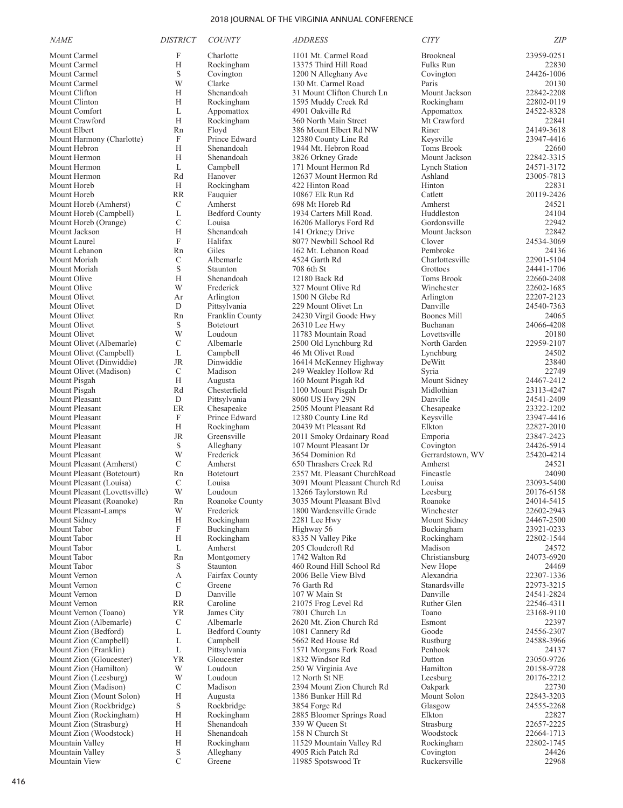| <b>NAME</b>                                         | <b>DISTRICT</b>    | <b>COUNTY</b>              | <b>ADDRESS</b>                                 | <b>CITY</b>                 | <b>ZIP</b>               |
|-----------------------------------------------------|--------------------|----------------------------|------------------------------------------------|-----------------------------|--------------------------|
| Mount Carmel                                        | F                  | Charlotte                  | 1101 Mt. Carmel Road                           | Brookneal                   | 23959-0251               |
| Mount Carmel                                        | H                  | Rockingham                 | 13375 Third Hill Road                          | <b>Fulks Run</b>            | 22830                    |
| Mount Carmel                                        | S                  | Covington                  | 1200 N Alleghany Ave                           | Covington                   | 24426-1006               |
| Mount Carmel                                        | W                  | Clarke                     | 130 Mt. Carmel Road                            | Paris                       | 20130                    |
| Mount Clifton                                       | H                  | Shenandoah                 | 31 Mount Clifton Church Ln                     | Mount Jackson               | 22842-2208               |
| Mount Clinton                                       | H                  | Rockingham                 | 1595 Muddy Creek Rd                            | Rockingham                  | 22802-0119               |
| Mount Comfort                                       | L                  | Appomattox                 | 4901 Oakville Rd                               | Appomattox                  | 24522-8328               |
| Mount Crawford                                      | H                  | Rockingham<br>Floyd        | 360 North Main Street                          | Mt Crawford<br>Riner        | 22841<br>24149-3618      |
| Mount Elbert<br>Mount Harmony (Charlotte)           | Rn<br>F            | Prince Edward              | 386 Mount Elbert Rd NW<br>12380 County Line Rd | Keysville                   | 23947-4416               |
| Mount Hebron                                        | H                  | Shenandoah                 | 1944 Mt. Hebron Road                           | <b>Toms Brook</b>           | 22660                    |
| Mount Hermon                                        | H                  | Shenandoah                 | 3826 Orkney Grade                              | Mount Jackson               | 22842-3315               |
| Mount Hermon                                        | L                  | Campbell                   | 171 Mount Hermon Rd                            | <b>Lynch Station</b>        | 24571-3172               |
| Mount Hermon                                        | Rd                 | Hanover                    | 12637 Mount Hermon Rd                          | Ashland                     | 23005-7813               |
| Mount Horeb                                         | H                  | Rockingham                 | 422 Hinton Road                                | Hinton                      | 22831                    |
| Mount Horeb                                         | <b>RR</b>          | Fauquier                   | 10867 Elk Run Rd                               | Catlett                     | 20119-2426               |
| Mount Horeb (Amherst)                               | C                  | Amherst                    | 698 Mt Horeb Rd                                | Amherst                     | 24521                    |
| Mount Horeb (Campbell)                              | L                  | <b>Bedford County</b>      | 1934 Carters Mill Road.                        | Huddleston                  | 24104                    |
| Mount Horeb (Orange)                                | $\mathcal{C}$      | Louisa                     | 16206 Mallorys Ford Rd                         | Gordonsville                | 22942                    |
| Mount Jackson                                       | H<br>$\mathbf{F}$  | Shenandoah<br>Halifax      | 141 Orkne; y Drive                             | Mount Jackson<br>Clover     | 22842                    |
| Mount Laurel<br>Mount Lebanon                       | Rn                 | Giles                      | 8077 Newbill School Rd<br>162 Mt. Lebanon Road | Pembroke                    | 24534-3069<br>24136      |
| Mount Moriah                                        | C                  | Albemarle                  | 4524 Garth Rd                                  | Charlottesville             | 22901-5104               |
| Mount Moriah                                        | S                  | Staunton                   | 708 6th St                                     | Grottoes                    | 24441-1706               |
| Mount Olive                                         | H                  | Shenandoah                 | 12180 Back Rd                                  | Toms Brook                  | 22660-2408               |
| Mount Olive                                         | W                  | Frederick                  | 327 Mount Olive Rd                             | Winchester                  | 22602-1685               |
| Mount Olivet                                        | Ar                 | Arlington                  | 1500 N Glebe Rd                                | Arlington                   | 22207-2123               |
| Mount Olivet                                        | D                  | Pittsylvania               | 229 Mount Olivet Ln                            | Danville                    | 24540-7363               |
| Mount Olivet                                        | Rn                 | Franklin County            | 24230 Virgil Goode Hwy                         | <b>Boones Mill</b>          | 24065                    |
| Mount Olivet                                        | S                  | Botetourt                  | 26310 Lee Hwy                                  | Buchanan                    | 24066-4208               |
| Mount Olivet                                        | W                  | Loudoun                    | 11783 Mountain Road                            | Lovettsville                | 20180                    |
| Mount Olivet (Albemarle)                            | C<br>$\mathbf{L}$  | Albemarle                  | 2500 Old Lynchburg Rd                          | North Garden                | 22959-2107               |
| Mount Olivet (Campbell)<br>Mount Olivet (Dinwiddie) | <b>JR</b>          | Campbell<br>Dinwiddie      | 46 Mt Olivet Road<br>16414 McKenney Highway    | Lynchburg<br>DeWitt         | 24502<br>23840           |
| Mount Olivet (Madison)                              | C                  | Madison                    | 249 Weakley Hollow Rd                          | Syria                       | 22749                    |
| Mount Pisgah                                        | H                  | Augusta                    | 160 Mount Pisgah Rd                            | Mount Sidney                | 24467-2412               |
| Mount Pisgah                                        | Rd                 | Chesterfield               | 1100 Mount Pisgah Dr                           | Midlothian                  | 23113-4247               |
| Mount Pleasant                                      | D                  | Pittsylvania               | 8060 US Hwy 29N                                | Danville                    | 24541-2409               |
| Mount Pleasant                                      | ER                 | Chesapeake                 | 2505 Mount Pleasant Rd                         | Chesapeake                  | 23322-1202               |
| Mount Pleasant                                      | F                  | Prince Edward              | 12380 County Line Rd                           | Keysville                   | 23947-4416               |
| Mount Pleasant                                      | H                  | Rockingham                 | 20439 Mt Pleasant Rd                           | Elkton                      | 22827-2010               |
| Mount Pleasant                                      | <b>JR</b>          | Greensville                | 2011 Smoky Ordainary Road                      | Emporia                     | 23847-2423               |
| Mount Pleasant<br>Mount Pleasant                    | S<br>W             | Alleghany<br>Frederick     | 107 Mount Pleasant Dr<br>3654 Dominion Rd      | Covington                   | 24426-5914<br>25420-4214 |
| Mount Pleasant (Amherst)                            | $\mathcal{C}$      | Amherst                    | 650 Thrashers Creek Rd                         | Gerrardstown, WV<br>Amherst | 24521                    |
| Mount Pleasant (Botetourt)                          | Rn                 | <b>Botetourt</b>           | 2357 Mt. Pleasant ChurchRoad                   | Fincastle                   | 24090                    |
| Mount Pleasant (Louisa)                             | $\mathcal{C}$      | Louisa                     | 3091 Mount Pleasant Church Rd                  | Louisa                      | 23093-5400               |
| Mount Pleasant (Lovettsville)                       | W                  | Loudoun                    | 13266 Taylorstown Rd                           | Leesburg                    | 20176-6158               |
| Mount Pleasant (Roanoke)                            | Rn                 | Roanoke County             | 3035 Mount Pleasant Blvd                       | Roanoke                     | 24014-5415               |
| Mount Pleasant-Lamps                                | W                  | Frederick                  | 1800 Wardensville Grade                        | Winchester                  | 22602-2943               |
| Mount Sidney                                        | Н                  | Rockingham                 | 2281 Lee Hwy                                   | Mount Sidney                | 24467-2500               |
| Mount Tabor                                         | F                  | Buckingham                 | Highway 56                                     | Buckingham                  | 23921-0233               |
| Mount Tabor                                         | H                  | Rockingham                 | 8335 N Valley Pike                             | Rockingham                  | 22802-1544               |
| Mount Tabor<br>Mount Tabor                          | L<br>Rn            | Amherst<br>Montgomery      | 205 Cloudcroft Rd<br>1742 Walton Rd            | Madison<br>Christiansburg   | 24572<br>24073-6920      |
| Mount Tabor                                         | S                  | Staunton                   | 460 Round Hill School Rd                       | New Hope                    | 24469                    |
| Mount Vernon                                        | А                  | Fairfax County             | 2006 Belle View Blyd                           | Alexandria                  | 22307-1336               |
| Mount Vernon                                        | C                  | Greene                     | 76 Garth Rd                                    | Stanardsville               | 22973-3215               |
| Mount Vernon                                        | ${\rm D}$          | Danville                   | 107 W Main St                                  | Danville                    | 24541-2824               |
| Mount Vernon                                        | <b>RR</b>          | Caroline                   | 21075 Frog Level Rd                            | Ruther Glen                 | 22546-4311               |
| Mount Vernon (Toano)                                | <b>YR</b>          | James City                 | 7801 Church Ln                                 | Toano                       | 23168-9110               |
| Mount Zion (Albemarle)                              | C                  | Albemarle                  | 2620 Mt. Zion Church Rd                        | Esmont                      | 22397                    |
| Mount Zion (Bedford)                                | L                  | <b>Bedford County</b>      | 1081 Cannery Rd                                | Goode                       | 24556-2307               |
| Mount Zion (Campbell)                               | L                  | Campbell                   | 5662 Red House Rd                              | Rustburg                    | 24588-3966               |
| Mount Zion (Franklin)<br>Mount Zion (Gloucester)    | L<br><b>YR</b>     | Pittsylvania<br>Gloucester | 1571 Morgans Fork Road<br>1832 Windsor Rd      | Penhook<br>Dutton           | 24137<br>23050-9726      |
| Mount Zion (Hamilton)                               | W                  | Loudoun                    | 250 W Virginia Ave                             | Hamilton                    | 20158-9728               |
| Mount Zion (Leesburg)                               | W                  | Loudoun                    | 12 North St NE                                 | Leesburg                    | 20176-2212               |
| Mount Zion (Madison)                                | C                  | Madison                    | 2394 Mount Zion Church Rd                      | Oakpark                     | 22730                    |
| Mount Zion (Mount Solon)                            | Н                  | Augusta                    | 1386 Bunker Hill Rd                            | Mount Solon                 | 22843-3203               |
| Mount Zion (Rockbridge)                             | $\mathbf S$        | Rockbridge                 | 3854 Forge Rd                                  | Glasgow                     | 24555-2268               |
| Mount Zion (Rockingham)                             | H                  | Rockingham                 | 2885 Bloomer Springs Road                      | Elkton                      | 22827                    |
| Mount Zion (Strasburg)                              | H                  | Shenandoah                 | 339 W Queen St                                 | Strasburg                   | 22657-2225               |
| Mount Zion (Woodstock)                              | Н                  | Shenandoah                 | 158 N Church St                                | Woodstock                   | 22664-1713               |
| Mountain Valley                                     | Н                  | Rockingham                 | 11529 Mountain Valley Rd                       | Rockingham                  | 22802-1745               |
| Mountain Valley                                     | S<br>$\mathcal{C}$ | Alleghany                  | 4905 Rich Patch Rd                             | Covington                   | 24426                    |
| Mountain View                                       |                    | Greene                     | 11985 Spotswood Tr                             | Ruckersville                | 22968                    |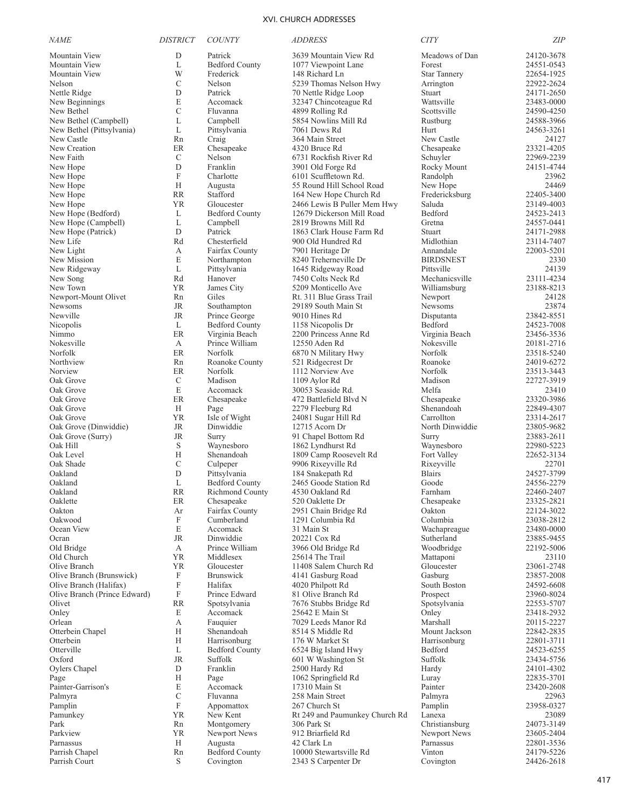| <b>NAME</b>                            | <b>DISTRICT</b>           | <b>COUNTY</b>                       | <i>ADDRESS</i>                                   | <b>CITY</b>               | <b>ZIP</b>               |
|----------------------------------------|---------------------------|-------------------------------------|--------------------------------------------------|---------------------------|--------------------------|
| Mountain View                          | D                         | Patrick                             | 3639 Mountain View Rd                            | Meadows of Dan            | 24120-3678               |
| Mountain View                          | L                         | <b>Bedford County</b>               | 1077 Viewpoint Lane                              | Forest                    | 24551-0543               |
| Mountain View                          | W                         | Frederick                           | 148 Richard Ln                                   | <b>Star Tannery</b>       | 22654-1925               |
| Nelson                                 | C                         | Nelson                              | 5239 Thomas Nelson Hwy                           | Arrington                 | 22922-2624               |
| Nettle Ridge                           | D                         | Patrick                             | 70 Nettle Ridge Loop                             | Stuart                    | 24171-2650               |
| New Beginnings                         | E<br>C                    | Accomack                            | 32347 Chincoteague Rd<br>4899 Rolling Rd         | Wattsville<br>Scottsville | 23483-0000               |
| New Bethel<br>New Bethel (Campbell)    | L                         | Fluvanna<br>Campbell                | 5854 Nowlins Mill Rd                             | Rustburg                  | 24590-4250<br>24588-3966 |
| New Bethel (Pittsylvania)              | L                         | Pittsylvania                        | 7061 Dews Rd                                     | Hurt                      | 24563-3261               |
| New Castle                             | Rn                        | Craig                               | 364 Main Street                                  | New Castle                | 24127                    |
| New Creation                           | ER                        | Chesapeake                          | 4320 Bruce Rd                                    | Chesapeake                | 23321-4205               |
| New Faith                              | C                         | Nelson                              | 6731 Rockfish River Rd                           | Schuyler                  | 22969-2239               |
| New Hope                               | D                         | Franklin                            | 3901 Old Forge Rd                                | Rocky Mount               | 24151-4744               |
| New Hope                               | $\boldsymbol{\mathrm{F}}$ | Charlotte                           | 6101 Scuffletown Rd.                             | Randolph                  | 23962                    |
| New Hope                               | Н                         | Augusta                             | 55 Round Hill School Road                        | New Hope                  | 24469                    |
| New Hope                               | <b>RR</b>                 | Stafford                            | 164 New Hope Church Rd                           | Fredericksburg            | 22405-3400               |
| New Hope<br>New Hope (Bedford)         | <b>YR</b>                 | Gloucester<br><b>Bedford County</b> | 2466 Lewis B Puller Mem Hwy                      | Saluda<br>Bedford         | 23149-4003               |
| New Hope (Campbell)                    | L<br>L                    | Campbell                            | 12679 Dickerson Mill Road<br>2819 Browns Mill Rd | Gretna                    | 24523-2413<br>24557-0441 |
| New Hope (Patrick)                     | D                         | Patrick                             | 1863 Clark House Farm Rd                         | Stuart                    | 24171-2988               |
| New Life                               | Rd                        | Chesterfield                        | 900 Old Hundred Rd                               | Midlothian                | 23114-7407               |
| New Light                              | А                         | Fairfax County                      | 7901 Heritage Dr                                 | Annandale                 | 22003-5201               |
| New Mission                            | E                         | Northampton                         | 8240 Treherneville Dr                            | <b>BIRDSNEST</b>          | 2330                     |
| New Ridgeway                           | L                         | Pittsylvania                        | 1645 Ridgeway Road                               | Pittsville                | 24139                    |
| New Song                               | Rd                        | Hanover                             | 7450 Colts Neck Rd                               | Mechanicsville            | 23111-4234               |
| New Town                               | <b>YR</b>                 | James City                          | 5209 Monticello Ave                              | Williamsburg              | 23188-8213               |
| Newport-Mount Olivet                   | Rn                        | Giles                               | Rt. 311 Blue Grass Trail                         | Newport                   | 24128                    |
| Newsoms                                | JR<br><b>JR</b>           | Southampton<br>Prince George        | 29189 South Main St<br>9010 Hines Rd             | Newsoms                   | 23874                    |
| Newville<br>Nicopolis                  | L                         | <b>Bedford County</b>               | 1158 Nicopolis Dr                                | Disputanta<br>Bedford     | 23842-8551<br>24523-7008 |
| Nimmo                                  | ER                        | Virginia Beach                      | 2200 Princess Anne Rd                            | Virginia Beach            | 23456-3536               |
| Nokesville                             | А                         | Prince William                      | 12550 Aden Rd                                    | Nokesville                | 20181-2716               |
| Norfolk                                | ER                        | Norfolk                             | 6870 N Military Hwy                              | Norfolk                   | 23518-5240               |
| Northview                              | Rn                        | Roanoke County                      | 521 Ridgecrest Dr                                | Roanoke                   | 24019-6272               |
| Norview                                | ER                        | Norfolk                             | 1112 Norview Ave                                 | Norfolk                   | 23513-3443               |
| Oak Grove                              | $\mathcal{C}$             | Madison                             | 1109 Aylor Rd                                    | Madison                   | 22727-3919               |
| Oak Grove                              | E                         | Accomack                            | 30053 Seaside Rd.                                | Melfa                     | 23410                    |
| Oak Grove                              | ER                        | Chesapeake                          | 472 Battlefield Blvd N                           | Chesapeake                | 23320-3986               |
| Oak Grove<br>Oak Grove                 | H<br><b>YR</b>            | Page<br>Isle of Wight               | 2279 Fleeburg Rd<br>24081 Sugar Hill Rd          | Shenandoah<br>Carrollton  | 22849-4307<br>23314-2617 |
| Oak Grove (Dinwiddie)                  | JR                        | Dinwiddie                           | 12715 Acorn Dr                                   | North Dinwiddie           | 23805-9682               |
| Oak Grove (Surry)                      | <b>JR</b>                 | Surry                               | 91 Chapel Bottom Rd                              | Surry                     | 23883-2611               |
| Oak Hill                               | S                         | Waynesboro                          | 1862 Lyndhurst Rd                                | Waynesboro                | 22980-5223               |
| Oak Level                              | Н                         | Shenandoah                          | 1809 Camp Roosevelt Rd                           | Fort Valley               | 22652-3134               |
| Oak Shade                              | С                         | Culpeper                            | 9906 Rixeyville Rd                               | Rixeyville                | 22701                    |
| Oakland                                | D                         | Pittsylvania                        | 184 Snakepath Rd                                 | <b>Blairs</b>             | 24527-3799               |
| Oakland                                | L                         | <b>Bedford County</b>               | 2465 Goode Station Rd                            | Goode                     | 24556-2279               |
| Oakland                                | <b>RR</b>                 | <b>Richmond County</b>              | 4530 Oakland Rd                                  | Farnham                   | 22460-2407<br>23325-2821 |
| Oaklette<br>Oakton                     | $\rm ER$<br>Ar            | Chesapeake<br>Fairfax County        | 520 Oaklette Dr<br>2951 Chain Bridge Rd          | Chesapeake<br>Oakton      | 22124-3022               |
| Oakwood                                | F                         | Cumberland                          | 1291 Columbia Rd                                 | Columbia                  | 23038-2812               |
| Ocean View                             | E                         | Accomack                            | 31 Main St                                       | Wachapreague              | 23480-0000               |
| Ocran                                  | JR                        | Dinwiddie                           | 20221 Cox Rd                                     | Sutherland                | 23885-9455               |
| Old Bridge                             | А                         | Prince William                      | 3966 Old Bridge Rd                               | Woodbridge                | 22192-5006               |
| Old Church                             | <b>YR</b>                 | Middlesex                           | 25614 The Trail                                  | Mattaponi                 | 23110                    |
| Olive Branch                           | <b>YR</b>                 | Gloucester                          | 11408 Salem Church Rd                            | Gloucester                | 23061-2748               |
| Olive Branch (Brunswick)               | F                         | <b>Brunswick</b>                    | 4141 Gasburg Road                                | Gasburg                   | 23857-2008               |
| Olive Branch (Halifax)                 | F                         | Halifax                             | 4020 Philpott Rd                                 | South Boston              | 24592-6608               |
| Olive Branch (Prince Edward)<br>Olivet | F<br><b>RR</b>            | Prince Edward<br>Spotsylvania       | 81 Olive Branch Rd<br>7676 Stubbs Bridge Rd      | Prospect<br>Spotsylvania  | 23960-8024<br>22553-5707 |
| Onley                                  | E                         | Accomack                            | 25642 E Main St                                  | Onley                     | 23418-2932               |
| Orlean                                 | А                         | Fauquier                            | 7029 Leeds Manor Rd                              | Marshall                  | 20115-2227               |
| Otterbein Chapel                       | Н                         | Shenandoah                          | 8514 S Middle Rd                                 | Mount Jackson             | 22842-2835               |
| Otterbein                              | Н                         | Harrisonburg                        | 176 W Market St                                  | Harrisonburg              | 22801-3711               |
| Otterville                             | L                         | <b>Bedford County</b>               | 6524 Big Island Hwy                              | Bedford                   | 24523-6255               |
| Oxford                                 | <b>JR</b>                 | Suffolk                             | 601 W Washington St                              | Suffolk                   | 23434-5756               |
| Oylers Chapel                          | D                         | Franklin                            | 2500 Hardy Rd                                    | Hardy                     | 24101-4302               |
| Page                                   | H                         | Page                                | 1062 Springfield Rd                              | Luray                     | 22835-3701               |
| Painter-Garrison's<br>Palmyra          | E<br>С                    | Accomack<br>Fluvanna                | 17310 Main St<br>258 Main Street                 | Painter<br>Palmyra        | 23420-2608<br>22963      |
| Pamplin                                | $\boldsymbol{\mathrm{F}}$ | Appomattox                          | 267 Church St                                    | Pamplin                   | 23958-0327               |
| Pamunkey                               | <b>YR</b>                 | New Kent                            | Rt 249 and Paumunkey Church Rd                   | Lanexa                    | 23089                    |
| Park                                   | Rn                        | Montgomery                          | 306 Park St                                      | Christiansburg            | 24073-3149               |
| Parkview                               | YR                        | Newport News                        | 912 Briarfield Rd                                | Newport News              | 23605-2404               |
| Parnassus                              | H                         | Augusta                             | 42 Clark Ln                                      | Parnassus                 | 22801-3536               |
| Parrish Chapel                         | Rn                        | <b>Bedford County</b>               | 10000 Stewartsville Rd                           | Vinton                    | 24179-5226               |
| Parrish Court                          | S                         | Covington                           | 2343 S Carpenter Dr                              | Covington                 | 24426-2618               |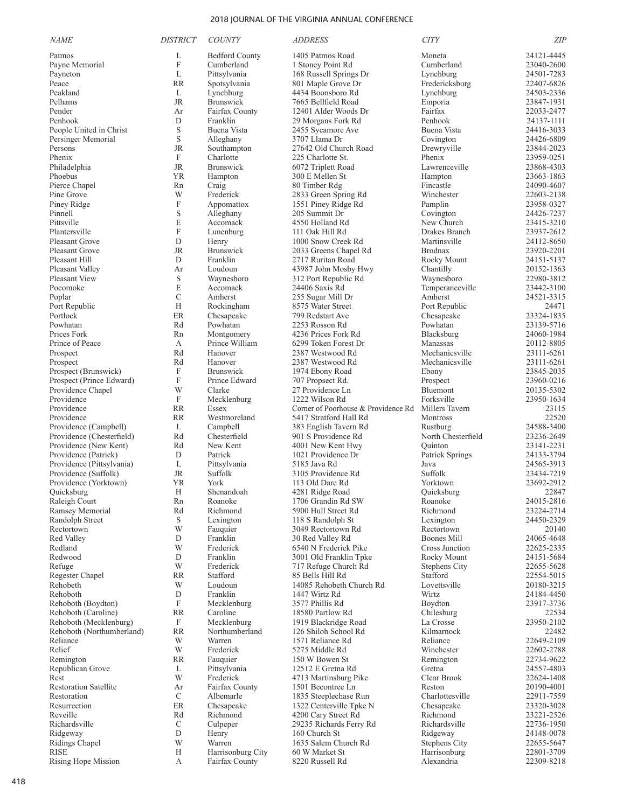| <i>NAME</i>                      | <b>DISTRICT</b>           | <b>COUNTY</b>            | <i>ADDRESS</i>                                 | <b>CITY</b>                   | <b>ZIP</b>               |
|----------------------------------|---------------------------|--------------------------|------------------------------------------------|-------------------------------|--------------------------|
| Patmos                           | L                         | <b>Bedford County</b>    | 1405 Patmos Road                               | Moneta                        | 24121-4445               |
| Payne Memorial                   | $\boldsymbol{\mathrm{F}}$ | Cumberland               | 1 Stoney Point Rd                              | Cumberland                    | 23040-2600               |
| Payneton                         | L                         | Pittsylvania             | 168 Russell Springs Dr                         | Lynchburg                     | 24501-7283               |
| Peace                            | <b>RR</b>                 | Spotsylvania             | 801 Maple Grove Dr                             | Fredericksburg                | 22407-6826               |
| Peakland                         | L                         | Lynchburg                | 4434 Boonsboro Rd                              | Lynchburg                     | 24503-2336               |
| Pelhams                          | JR                        | Brunswick                | 7665 Bellfield Road                            | Emporia                       | 23847-1931               |
| Pender                           | Ar                        | Fairfax County           | 12401 Alder Woods Dr                           | Fairfax                       | 22033-2477               |
| Penhook                          | D                         | Franklin                 | 29 Morgans Fork Rd                             | Penhook                       | 24137-1111               |
| People United in Christ          | S                         | Buena Vista              | 2455 Sycamore Ave                              | Buena Vista                   | 24416-3033               |
| Persinger Memorial<br>Persons    | S<br>JR                   | Alleghany<br>Southampton | 3707 Llama Dr<br>27642 Old Church Road         | Covington                     | 24426-6809<br>23844-2023 |
| Phenix                           | F                         | Charlotte                | 225 Charlotte St.                              | Drewryville<br>Phenix         | 23959-0251               |
| Philadelphia                     | JR                        | <b>Brunswick</b>         | 6072 Triplett Road                             | Lawrenceville                 | 23868-4303               |
| Phoebus                          | <b>YR</b>                 | Hampton                  | 300 E Mellen St                                | Hampton                       | 23663-1863               |
| Pierce Chapel                    | Rn                        | Craig                    | 80 Timber Rdg                                  | Fincastle                     | 24090-4607               |
| Pine Grove                       | W                         | Frederick                | 2833 Green Spring Rd                           | Winchester                    | 22603-2138               |
| Piney Ridge                      | F                         | Appomattox               | 1551 Piney Ridge Rd                            | Pamplin                       | 23958-0327               |
| Pinnell                          | S                         | Alleghany                | 205 Summit Dr                                  | Covington                     | 24426-7237               |
| Pittsville                       | E                         | Accomack                 | 4550 Holland Rd                                | New Church                    | 23415-3210               |
| Plantersville                    | $\boldsymbol{\mathrm{F}}$ | Lunenburg                | 111 Oak Hill Rd                                | Drakes Branch                 | 23937-2612               |
| Pleasant Grove                   | D                         | Henry                    | 1000 Snow Creek Rd                             | Martinsville                  | 24112-8650               |
| Pleasant Grove                   | JR                        | <b>Brunswick</b>         | 2033 Greens Chapel Rd                          | <b>Brodnax</b>                | 23920-2201               |
| Pleasant Hill                    | D                         | Franklin                 | 2717 Ruritan Road                              | Rocky Mount                   | 24151-5137               |
| Pleasant Valley                  | Ar                        | Loudoun                  | 43987 John Mosby Hwy                           | Chantilly                     | 20152-1363               |
| Pleasant View                    | S                         | Waynesboro               | 312 Port Republic Rd                           | Waynesboro                    | 22980-3812               |
| Pocomoke                         | E                         | Accomack                 | 24406 Saxis Rd                                 | Temperanceville               | 23442-3100               |
| Poplar                           | $\mathcal{C}$             | Amherst                  | 255 Sugar Mill Dr                              | Amherst                       | 24521-3315               |
| Port Republic                    | H                         | Rockingham               | 8575 Water Street                              | Port Republic                 | 24471                    |
| Portlock                         | $\rm ER$                  | Chesapeake               | 799 Redstart Ave                               | Chesapeake                    | 23324-1835               |
| Powhatan                         | Rd                        | Powhatan                 | 2253 Rosson Rd                                 | Powhatan                      | 23139-5716               |
| Prices Fork                      | Rn                        | Montgomery               | 4236 Prices Fork Rd                            | Blacksburg                    | 24060-1984               |
| Prince of Peace                  | А                         | Prince William           | 6299 Token Forest Dr                           | Manassas                      | 20112-8805               |
| Prospect                         | Rd                        | Hanover<br>Hanover       | 2387 Westwood Rd                               | Mechanicsville                | 23111-6261               |
| Prospect<br>Prospect (Brunswick) | Rd<br>F                   | <b>Brunswick</b>         | 2387 Westwood Rd<br>1974 Ebony Road            | Mechanicsville<br>Ebony       | 23111-6261<br>23845-2035 |
| Prospect (Prince Edward)         | $\boldsymbol{\mathrm{F}}$ | Prince Edward            | 707 Propsect Rd.                               | Prospect                      | 23960-0216               |
| Providence Chapel                | W                         | Clarke                   | 27 Providence Ln                               | Bluemont                      | 20135-5302               |
| Providence                       | $\boldsymbol{\mathrm{F}}$ | Mecklenburg              | 1222 Wilson Rd                                 | Forksville                    | 23950-1634               |
| Providence                       | <b>RR</b>                 | Essex                    | Corner of Poorhouse & Providence Rd            | Millers Tavern                | 23115                    |
| Providence                       | <b>RR</b>                 | Westmoreland             | 5417 Stratford Hall Rd                         | Montross                      | 22520                    |
| Providence (Campbell)            | L                         | Campbell                 | 383 English Tavern Rd                          | Rustburg                      | 24588-3400               |
| Providence (Chesterfield)        | Rd                        | Chesterfield             | 901 S Providence Rd                            | North Chesterfield            | 23236-2649               |
| Providence (New Kent)            | Rd                        | New Kent                 | 4001 New Kent Hwy                              | Ouinton                       | 23141-2231               |
| Providence (Patrick)             | D                         | Patrick                  | 1021 Providence Dr                             | Patrick Springs               | 24133-3794               |
| Providence (Pittsylvania)        | L                         | Pittsylvania             | 5185 Java Rd                                   | Java                          | 24565-3913               |
| Providence (Suffolk)             | JR                        | Suffolk                  | 3105 Providence Rd                             | Suffolk                       | 23434-7219               |
| Providence (Yorktown)            | <b>YR</b>                 | York                     | 113 Old Dare Rd                                | Yorktown                      | 23692-2912               |
| Quicksburg                       | Н                         | Shenandoah               | 4281 Ridge Road                                | Quicksburg                    | 22847                    |
| Raleigh Court                    | Rn                        | Roanoke                  | 1706 Grandin Rd SW                             | Roanoke                       | 24015-2816               |
| Ramsey Memorial                  | Rd                        | Richmond                 | 5900 Hull Street Rd                            | Richmond                      | 23224-2714               |
| Randolph Street                  | S<br>W                    | Lexington                | 118 S Randolph St<br>3049 Rectortown Rd        | Lexington<br>Rectortown       | 24450-2329               |
| Rectortown<br>Red Valley         | D                         | Fauquier<br>Franklin     | 30 Red Valley Rd                               | Boones Mill                   | 20140<br>24065-4648      |
| Redland                          | W                         | Frederick                | 6540 N Frederick Pike                          | Cross Junction                | 22625-2335               |
| Redwood                          | ${\rm D}$                 | Franklin                 | 3001 Old Franklin Tpke                         | Rocky Mount                   | 24151-5684               |
| Refuge                           | W                         | Frederick                | 717 Refuge Church Rd                           | Stephens City                 | 22655-5628               |
| Regester Chapel                  | RR                        | Stafford                 | 85 Bells Hill Rd                               | Stafford                      | 22554-5015               |
| Rehobeth                         | W                         | Loudoun                  | 14085 Rehobeth Church Rd                       | Lovettsville                  | 20180-3215               |
| Rehoboth                         | D                         | Franklin                 | 1447 Wirtz Rd                                  | Wirtz                         | 24184-4450               |
| Rehoboth (Boydton)               | F                         | Mecklenburg              | 3577 Phillis Rd                                | Boydton                       | 23917-3736               |
| Rehoboth (Caroline)              | RR                        | Caroline                 | 18580 Partlow Rd                               | Chilesburg                    | 22534                    |
| Rehoboth (Mecklenburg)           | F                         | Mecklenburg              | 1919 Blackridge Road                           | La Crosse                     | 23950-2102               |
| Rehoboth (Northumberland)        | <b>RR</b>                 | Northumberland           | 126 Shiloh School Rd                           | Kilmarnock                    | 22482                    |
| Reliance                         | W                         | Warren                   | 1571 Reliance Rd                               | Reliance                      | 22649-2109               |
| Relief                           | W                         | Frederick                | 5275 Middle Rd                                 | Winchester                    | 22602-2788               |
| Remington                        | <b>RR</b>                 | Fauquier                 | 150 W Bowen St                                 | Remington                     | 22734-9622               |
| Republican Grove                 | L                         | Pittsylvania             | 12512 E Gretna Rd                              | Gretna                        | 24557-4803               |
| Rest                             | W                         | Frederick                | 4713 Martinsburg Pike                          | Clear Brook                   | 22624-1408               |
| <b>Restoration Satellite</b>     | Ar                        | Fairfax County           | 1501 Becontree Ln                              | Reston                        | 20190-4001               |
| Restoration<br>Resurrection      | C<br>$\rm ER$             | Albemarle                | 1835 Steeplechase Run                          | Charlottesville<br>Chesapeake | 22911-7559               |
| Reveille                         | Rd                        | Chesapeake<br>Richmond   | 1322 Centerville Tpke N<br>4200 Cary Street Rd | Richmond                      | 23320-3028<br>23221-2526 |
| Richardsville                    | C                         | Culpeper                 | 29235 Richards Ferry Rd                        | Richardsville                 | 22736-1950               |
| Ridgeway                         | D                         | Henry                    | 160 Church St                                  | Ridgeway                      | 24148-0078               |
| Ridings Chapel                   | W                         | Warren                   | 1635 Salem Church Rd                           | <b>Stephens City</b>          | 22655-5647               |
| <b>RISE</b>                      | H                         | Harrisonburg City        | 60 W Market St                                 | Harrisonburg                  | 22801-3709               |
| Rising Hope Mission              | А                         | Fairfax County           | 8220 Russell Rd                                | Alexandria                    | 22309-8218               |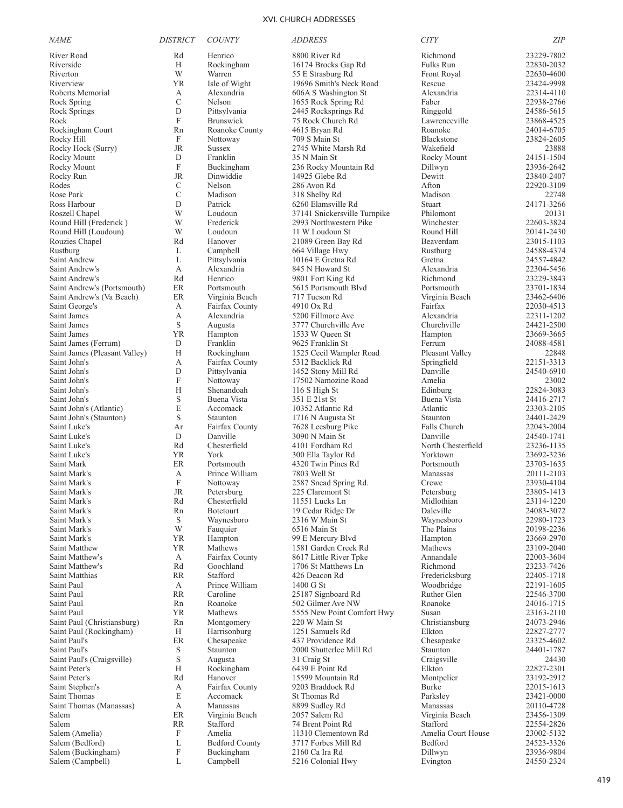| <b>NAME</b>                                            | <b>DISTRICT</b>           | <b>COUNTY</b>              | <i>ADDRESS</i>                                 | <b>CITY</b>              | <b>ZIP</b>               |
|--------------------------------------------------------|---------------------------|----------------------------|------------------------------------------------|--------------------------|--------------------------|
| River Road                                             | Rd                        | Henrico                    | 8800 River Rd                                  | Richmond                 | 23229-7802               |
| Riverside                                              | H                         | Rockingham                 | 16174 Brocks Gap Rd                            | Fulks Run                | 22830-2032               |
| Riverton                                               | W                         | Warren                     | 55 E Strasburg Rd                              | Front Royal              | 22630-4600               |
| Riverview                                              | YR                        | Isle of Wight              | 19696 Smith's Neck Road                        | Rescue<br>Alexandria     | 23424-9998<br>22314-4110 |
| Roberts Memorial<br>Rock Spring                        | А<br>$\mathcal{C}$        | Alexandria<br>Nelson       | 606A S Washington St<br>1655 Rock Spring Rd    | Faber                    | 22938-2766               |
| Rock Springs                                           | D                         | Pittsylvania               | 2445 Rocksprings Rd                            | Ringgold                 | 24586-5615               |
| Rock                                                   | $\mathbf F$               | Brunswick                  | 75 Rock Church Rd                              | Lawrenceville            | 23868-4525               |
| Rockingham Court                                       | Rn                        | Roanoke County             | 4615 Bryan Rd                                  | Roanoke                  | 24014-6705               |
| Rocky Hill                                             | F                         | Nottoway                   | 709 S Main St                                  | Blackstone               | 23824-2605               |
| Rocky Hock (Surry)                                     | <b>JR</b>                 | <b>Sussex</b>              | 2745 White Marsh Rd                            | Wakefield                | 23888                    |
| Rocky Mount                                            | D                         | Franklin                   | 35 N Main St                                   | Rocky Mount              | 24151-1504               |
| Rocky Mount                                            | $\boldsymbol{\mathrm{F}}$ | Buckingham                 | 236 Rocky Mountain Rd                          | Dillwyn                  | 23936-2642               |
| Rocky Run<br>Rodes                                     | JR<br>C                   | Dinwiddie<br>Nelson        | 14925 Glebe Rd<br>286 Avon Rd                  | Dewitt<br>Afton          | 23840-2407<br>22920-3109 |
| Rose Park                                              | $\mathcal{C}$             | Madison                    | 318 Shelby Rd                                  | Madison                  | 22748                    |
| Ross Harbour                                           | D                         | Patrick                    | 6260 Elamsville Rd                             | Stuart                   | 24171-3266               |
| Roszell Chapel                                         | W                         | Loudoun                    | 37141 Snickersville Turnpike                   | Philomont                | 20131                    |
| Round Hill (Frederick)                                 | W                         | Frederick                  | 2993 Northwestern Pike                         | Winchester               | 22603-3824               |
| Round Hill (Loudoun)                                   | W                         | Loudoun                    | 11 W Loudoun St                                | Round Hill               | 20141-2430               |
| Rouzies Chapel                                         | Rd                        | Hanover                    | 21089 Green Bay Rd                             | Beaverdam                | 23015-1103               |
| Rustburg                                               | L<br>L                    | Campbell<br>Pittsylvania   | 664 Village Hwy                                | Rustburg<br>Gretna       | 24588-4374               |
| Saint Andrew<br>Saint Andrew's                         | A                         | Alexandria                 | 10164 E Gretna Rd<br>845 N Howard St           | Alexandria               | 24557-4842<br>22304-5456 |
| Saint Andrew's                                         | Rd                        | Henrico                    | 9801 Fort King Rd                              | Richmond                 | 23229-3843               |
| Saint Andrew's (Portsmouth)                            | ER                        | Portsmouth                 | 5615 Portsmouth Blvd                           | Portsmouth               | 23701-1834               |
| Saint Andrew's (Va Beach)                              | ER                        | Virginia Beach             | 717 Tucson Rd                                  | Virginia Beach           | 23462-6406               |
| Saint George's                                         | А                         | Fairfax County             | 4910 Ox Rd                                     | Fairfax                  | 22030-4513               |
| Saint James                                            | А                         | Alexandria                 | 5200 Fillmore Ave                              | Alexandria               | 22311-1202               |
| Saint James                                            | S                         | Augusta                    | 3777 Churchville Ave                           | Churchville              | 24421-2500               |
| Saint James                                            | YR<br>D                   | Hampton<br>Franklin        | 1533 W Queen St<br>9625 Franklin St            | Hampton<br>Ferrum        | 23669-3665<br>24088-4581 |
| Saint James (Ferrum)<br>Saint James (Pleasant Valley)  | H                         | Rockingham                 | 1525 Cecil Wampler Road                        | Pleasant Valley          | 22848                    |
| Saint John's                                           | А                         | Fairfax County             | 5312 Backlick Rd                               | Springfield              | 22151-3313               |
| Saint John's                                           | D                         | Pittsylvania               | 1452 Stony Mill Rd                             | Danville                 | 24540-6910               |
| Saint John's                                           | F                         | Nottoway                   | 17502 Namozine Road                            | Amelia                   | 23002                    |
| Saint John's                                           | H                         | Shenandoah                 | 116 S High St                                  | Edinburg                 | 22824-3083               |
| Saint John's                                           | S                         | Buena Vista                | 351 E 21st St                                  | Buena Vista              | 24416-2717               |
| Saint John's (Atlantic)<br>Saint John's (Staunton)     | E<br>S                    | Accomack<br>Staunton       | 10352 Atlantic Rd                              | Atlantic<br>Staunton     | 23303-2105<br>24401-2429 |
| Saint Luke's                                           | Ar                        | Fairfax County             | 1716 N Augusta St<br>7628 Leesburg Pike        | Falls Church             | 22043-2004               |
| Saint Luke's                                           | D                         | Danville                   | 3090 N Main St                                 | Danville                 | 24540-1741               |
| Saint Luke's                                           | Rd                        | Chesterfield               | 4101 Fordham Rd                                | North Chesterfield       | 23236-1135               |
| Saint Luke's                                           | YR                        | York                       | 300 Ella Taylor Rd                             | Yorktown                 | 23692-3236               |
| Saint Mark                                             | ER                        | Portsmouth                 | 4320 Twin Pines Rd                             | Portsmouth               | 23703-1635               |
| Saint Mark's                                           | А                         | Prince William             | 7803 Well St                                   | Manassas                 | 20111-2103               |
| Saint Mark's<br>Saint Mark's                           | $\mathbf F$<br><b>JR</b>  | Nottoway<br>Petersburg     | 2587 Snead Spring Rd.<br>225 Claremont St      | Crewe<br>Petersburg      | 23930-4104<br>23805-1413 |
| Saint Mark's                                           | Rd                        | Chesterfield               | 11551 Lucks Ln                                 | Midlothian               | 23114-1220               |
| Saint Mark's                                           | Rn                        | <b>Botetourt</b>           | 19 Cedar Ridge Dr                              | Daleville                | 24083-3072               |
| Saint Mark's                                           | S                         | Waynesboro                 | 2316 W Main St                                 | Waynesboro               | 22980-1723               |
| Saint Mark's                                           | W                         | Fauquier                   | 6516 Main St                                   | The Plains               | 20198-2236               |
| Saint Mark's                                           | ΥR                        | Hampton                    | 99 E Mercury Blvd                              | Hampton                  | 23669-2970               |
| Saint Matthew<br>Saint Matthew's                       | YR<br>A                   | Mathews<br>Fairfax County  | 1581 Garden Creek Rd<br>8617 Little River Tpke | Mathews<br>Annandale     | 23109-2040<br>22003-3604 |
| Saint Matthew's                                        | Rd                        | Goochland                  | 1706 St Matthews Ln                            | Richmond                 | 23233-7426               |
| Saint Matthias                                         | RR                        | Stafford                   | 426 Deacon Rd                                  | Fredericksburg           | 22405-1718               |
| Saint Paul                                             | A                         | Prince William             | 1400 G St                                      | Woodbridge               | 22191-1605               |
| Saint Paul                                             | RR                        | Caroline                   | 25187 Signboard Rd                             | Ruther Glen              | 22546-3700               |
| Saint Paul                                             | Rn                        | Roanoke                    | 502 Gilmer Ave NW                              | Roanoke                  | 24016-1715               |
| Saint Paul                                             | YR                        | Mathews                    | 5555 New Point Comfort Hwy                     | Susan                    | 23163-2110               |
| Saint Paul (Christiansburg)<br>Saint Paul (Rockingham) | Rn<br>Н                   | Montgomery<br>Harrisonburg | 220 W Main St<br>1251 Samuels Rd               | Christiansburg<br>Elkton | 24073-2946<br>22827-2777 |
| Saint Paul's                                           | $\rm ER$                  | Chesapeake                 | 437 Providence Rd                              | Chesapeake               | 23325-4602               |
| Saint Paul's                                           | S                         | Staunton                   | 2000 Shutterlee Mill Rd                        | Staunton                 | 24401-1787               |
| Saint Paul's (Craigsville)                             | S                         | Augusta                    | 31 Craig St                                    | Craigsville              | 24430                    |
| Saint Peter's                                          | Н                         | Rockingham                 | 6439 E Point Rd                                | Elkton                   | 22827-2301               |
| Saint Peter's                                          | Rd                        | Hanover                    | 15599 Mountain Rd                              | Montpelier               | 23192-2912               |
| Saint Stephen's                                        | А                         | Fairfax County             | 9203 Braddock Rd                               | Burke                    | 22015-1613               |
| Saint Thomas<br>Saint Thomas (Manassas)                | E<br>А                    | Accomack<br>Manassas       | St Thomas Rd<br>8899 Sudley Rd                 | Parksley<br>Manassas     | 23421-0000<br>20110-4728 |
| Salem                                                  | ER                        | Virginia Beach             | 2057 Salem Rd                                  | Virginia Beach           | 23456-1309               |
| Salem                                                  | <b>RR</b>                 | Stafford                   | 74 Brent Point Rd                              | Stafford                 | 22554-2826               |
| Salem (Amelia)                                         | F                         | Amelia                     | 11310 Clementown Rd                            | Amelia Court House       | 23002-5132               |
| Salem (Bedford)                                        | L                         | <b>Bedford County</b>      | 3717 Forbes Mill Rd                            | Bedford                  | 24523-3326               |
| Salem (Buckingham)                                     | F                         | Buckingham                 | 2160 Ca Ira Rd                                 | Dillwyn                  | 23936-9804               |
| Salem (Campbell)                                       | L                         | Campbell                   | 5216 Colonial Hwy                              | Evington                 | 24550-2324               |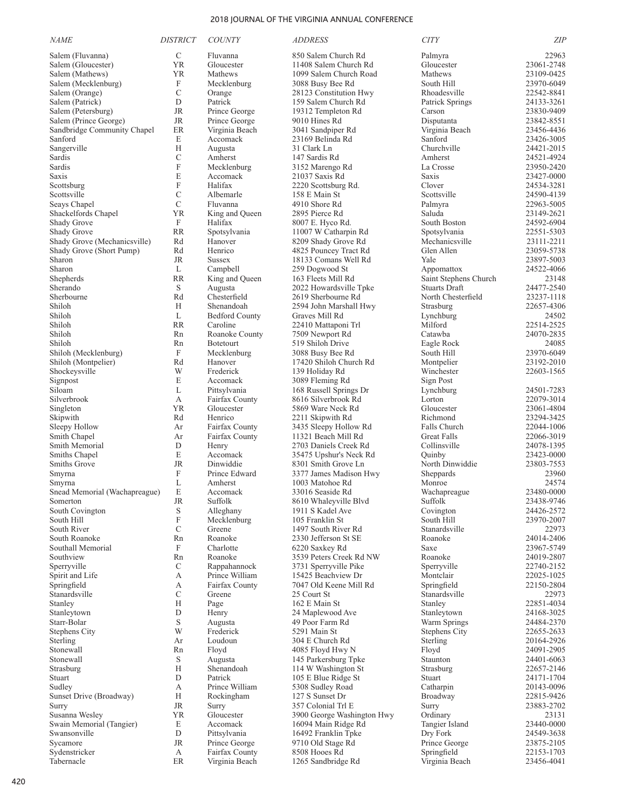| <b>NAME</b>                            | <b>DISTRICT</b>           | <b>COUNTY</b>                | <i>ADDRESS</i>                               | <b>CITY</b>                                   | ZIP                      |
|----------------------------------------|---------------------------|------------------------------|----------------------------------------------|-----------------------------------------------|--------------------------|
| Salem (Fluvanna)                       | $\mathcal{C}$             | Fluvanna                     | 850 Salem Church Rd                          | Palmyra                                       | 22963                    |
| Salem (Gloucester)                     | <b>YR</b>                 | Gloucester                   | 11408 Salem Church Rd                        | Gloucester                                    | 23061-2748               |
| Salem (Mathews)                        | <b>YR</b>                 | Mathews                      | 1099 Salem Church Road                       | Mathews                                       | 23109-0425               |
| Salem (Mecklenburg)                    | F                         | Mecklenburg                  | 3088 Busy Bee Rd                             | South Hill                                    | 23970-6049               |
| Salem (Orange)                         | $\mathcal{C}$             | Orange                       | 28123 Constitution Hwy                       | Rhoadesville                                  | 22542-8841               |
| Salem (Patrick)                        | D                         | Patrick                      | 159 Salem Church Rd                          | Patrick Springs                               | 24133-3261               |
| Salem (Petersburg)                     | <b>JR</b>                 | Prince George                | 19312 Templeton Rd                           | Carson                                        | 23830-9409               |
| Salem (Prince George)                  | JR                        | Prince George                | 9010 Hines Rd                                | Disputanta                                    | 23842-8551               |
| Sandbridge Community Chapel<br>Sanford | <b>ER</b><br>E            | Virginia Beach<br>Accomack   | 3041 Sandpiper Rd<br>23169 Belinda Rd        | Virginia Beach<br>Sanford                     | 23456-4436               |
| Sangerville                            | Н                         | Augusta                      | 31 Clark Ln                                  | Churchville                                   | 23426-3005<br>24421-2015 |
| Sardis                                 | $\mathcal{C}$             | Amherst                      | 147 Sardis Rd                                | Amherst                                       | 24521-4924               |
| Sardis                                 | $\boldsymbol{\mathrm{F}}$ | Mecklenburg                  | 3152 Marengo Rd                              | La Crosse                                     | 23950-2420               |
| Saxis                                  | E                         | Accomack                     | 21037 Saxis Rd                               | Saxis                                         | 23427-0000               |
| Scottsburg                             | F                         | Halifax                      | 2220 Scottsburg Rd.                          | Clover                                        | 24534-3281               |
| Scottsville                            | $\mathcal{C}$             | Albemarle                    | 158 E Main St                                | Scottsville                                   | 24590-4139               |
| Seays Chapel                           | $\mathcal{C}$             | Fluvanna                     | 4910 Shore Rd                                | Palmyra                                       | 22963-5005               |
| Shackelfords Chapel                    | <b>YR</b>                 | King and Queen               | 2895 Pierce Rd                               | Saluda                                        | 23149-2621               |
| Shady Grove                            | F                         | Halifax                      | 8007 E. Hyco Rd.                             | South Boston                                  | 24592-6904               |
| Shady Grove                            | <b>RR</b>                 | Spotsylvania                 | 11007 W Catharpin Rd                         | Spotsylvania                                  | 22551-5303               |
| Shady Grove (Mechanicsville)           | Rd                        | Hanover                      | 8209 Shady Grove Rd                          | Mechanicsville                                | 23111-2211               |
| Shady Grove (Short Pump)               | Rd                        | Henrico                      | 4825 Pouncey Tract Rd                        | Glen Allen                                    | 23059-5738               |
| Sharon                                 | <b>JR</b>                 | <b>Sussex</b>                | 18133 Comans Well Rd                         | Yale                                          | 23897-5003               |
| Sharon                                 | L                         | Campbell                     | 259 Dogwood St                               | Appomattox                                    | 24522-4066               |
| Shepherds<br>Sherando                  | <b>RR</b><br>S            | King and Oueen<br>Augusta    | 163 Fleets Mill Rd                           | Saint Stephens Church<br><b>Stuarts Draft</b> | 23148<br>24477-2540      |
| Sherbourne                             | Rd                        | Chesterfield                 | 2022 Howardsville Tpke<br>2619 Sherbourne Rd | North Chesterfield                            | 23237-1118               |
| Shiloh                                 | H                         | Shenandoah                   | 2594 John Marshall Hwy                       | Strasburg                                     | 22657-4306               |
| Shiloh                                 | L                         | <b>Bedford County</b>        | Graves Mill Rd                               | Lynchburg                                     | 24502                    |
| Shiloh                                 | <b>RR</b>                 | Caroline                     | 22410 Mattaponi Trl                          | Milford                                       | 22514-2525               |
| Shiloh                                 | Rn                        | Roanoke County               | 7509 Newport Rd                              | Catawba                                       | 24070-2835               |
| Shiloh                                 | Rn                        | <b>Botetourt</b>             | 519 Shiloh Drive                             | Eagle Rock                                    | 24085                    |
| Shiloh (Mecklenburg)                   | F                         | Mecklenburg                  | 3088 Busy Bee Rd                             | South Hill                                    | 23970-6049               |
| Shiloh (Montpelier)                    | Rd                        | Hanover                      | 17420 Shiloh Church Rd                       | Montpelier                                    | 23192-2010               |
| Shockeysville                          | W                         | Frederick                    | 139 Holiday Rd                               | Winchester                                    | 22603-1565               |
| Signpost                               | E                         | Accomack                     | 3089 Fleming Rd                              | Sign Post                                     |                          |
| Siloam                                 | L                         | Pittsylvania                 | 168 Russell Springs Dr                       | Lynchburg                                     | 24501-7283               |
| Silverbrook                            | А                         | Fairfax County               | 8616 Silverbrook Rd                          | Lorton                                        | 22079-3014               |
| Singleton                              | YR                        | Gloucester                   | 5869 Ware Neck Rd                            | Gloucester                                    | 23061-4804               |
| Skipwith                               | Rd                        | Henrico                      | 2211 Skipwith Rd                             | Richmond                                      | 23294-3425               |
| Sleepy Hollow                          | Ar                        | Fairfax County               | 3435 Sleepy Hollow Rd<br>11321 Beach Mill Rd | Falls Church<br><b>Great Falls</b>            | 22044-1006<br>22066-3019 |
| Smith Chapel<br>Smith Memorial         | Ar<br>D                   | Fairfax County<br>Henry      | 2703 Daniels Creek Rd                        | Collinsville                                  | 24078-1395               |
| Smiths Chapel                          | E                         | Accomack                     | 35475 Upshur's Neck Rd                       | Quinby                                        | 23423-0000               |
| Smiths Grove                           | <b>JR</b>                 | Dinwiddie                    | 8301 Smith Grove Ln                          | North Dinwiddie                               | 23803-7553               |
| Smyrna                                 | F                         | Prince Edward                | 3377 James Madison Hwy                       | Sheppards                                     | 23960                    |
| Smyrna                                 | L                         | Amherst                      | 1003 Matohoe Rd                              | Monroe                                        | 24574                    |
| Snead Memorial (Wachapreague)          | E                         | Accomack                     | 33016 Seaside Rd                             | Wachapreague                                  | 23480-0000               |
| Somerton                               | <b>JR</b>                 | Suffolk                      | 8610 Whaleyville Blvd                        | Suffolk                                       | 23438-9746               |
| South Covington                        | $\mathbf S$               | Alleghany                    | 1911 S Kadel Ave                             | Covington                                     | 24426-2572               |
| South Hill                             | F                         | Mecklenburg                  | 105 Franklin St                              | South Hill                                    | 23970-2007               |
| South River                            | $\mathbf C$               | Greene                       | 1497 South River Rd                          | Stanardsville                                 | 22973                    |
| South Roanoke                          | Rn                        | Roanoke                      | 2330 Jefferson St SE                         | Roanoke                                       | 24014-2406               |
| Southall Memorial<br>Southview         | F                         | Charlotte<br>Roanoke         | 6220 Saxkey Rd<br>3539 Peters Creek Rd NW    | Saxe<br>Roanoke                               | 23967-5749<br>24019-2807 |
| Sperryville                            | Rn<br>$\mathbf C$         | Rappahannock                 | 3731 Sperryville Pike                        | Sperryville                                   | 22740-2152               |
| Spirit and Life                        | А                         | Prince William               | 15425 Beachview Dr                           | Montclair                                     | 22025-1025               |
| Springfield                            | А                         | Fairfax County               | 7047 Old Keene Mill Rd                       | Springfield                                   | 22150-2804               |
| Stanardsville                          | C                         | Greene                       | 25 Court St                                  | Stanardsville                                 | 22973                    |
| Stanley                                | H                         | Page                         | 162 E Main St                                | Stanley                                       | 22851-4034               |
| Stanleytown                            | $\mathbf D$               | Henry                        | 24 Maplewood Ave                             | Stanleytown                                   | 24168-3025               |
| Starr-Bolar                            | $\mathbf S$               | Augusta                      | 49 Poor Farm Rd                              | Warm Springs                                  | 24484-2370               |
| Stephens City                          | W                         | Frederick                    | 5291 Main St                                 | Stephens City                                 | 22655-2633               |
| Sterling                               | Ar                        | Loudoun                      | 304 E Church Rd                              | Sterling                                      | 20164-2926               |
| Stonewall                              | Rn                        | Floyd                        | 4085 Floyd Hwy N                             | Floyd                                         | 24091-2905               |
| Stonewall                              | S                         | Augusta                      | 145 Parkersburg Tpke                         | Staunton                                      | 24401-6063               |
| Strasburg                              | Н                         | Shenandoah                   | 114 W Washington St                          | Strasburg                                     | 22657-2146               |
| Stuart                                 | D                         | Patrick                      | 105 E Blue Ridge St                          | Stuart                                        | 24171-1704               |
| Sudley<br>Sunset Drive (Broadway)      | А<br>H                    | Prince William<br>Rockingham | 5308 Sudley Road<br>127 S Sunset Dr          | Catharpin<br>Broadway                         | 20143-0096               |
| Surry                                  | JR                        | Surry                        | 357 Colonial Trl E                           | Surry                                         | 22815-9426<br>23883-2702 |
| Susanna Wesley                         | YR                        | Gloucester                   | 3900 George Washington Hwy                   | Ordinary                                      | 23131                    |
| Swain Memorial (Tangier)               | E                         | Accomack                     | 16094 Main Ridge Rd                          | Tangier Island                                | 23440-0000               |
| Swansonville                           | D                         | Pittsylvania                 | 16492 Franklin Tpke                          | Dry Fork                                      | 24549-3638               |
| Sycamore                               | JR                        | Prince George                | 9710 Old Stage Rd                            | Prince George                                 | 23875-2105               |
| Sydenstricker                          | $\mathbf{A}$              | Fairfax County               | 8508 Hooes Rd                                | Springfield                                   | 22153-1703               |
| Tabernacle                             | ER                        | Virginia Beach               | 1265 Sandbridge Rd                           | Virginia Beach                                | 23456-4041               |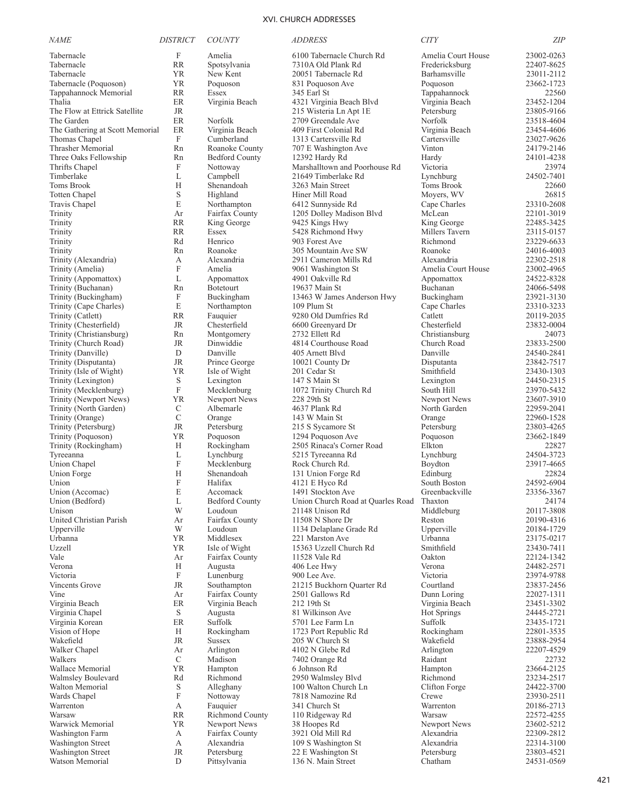| <i>NAME</i>                                | <b>DISTRICT</b>   | <b>COUNTY</b>                  | <i>ADDRESS</i>                                | <b>CITY</b>                    | <b>ZIP</b>               |
|--------------------------------------------|-------------------|--------------------------------|-----------------------------------------------|--------------------------------|--------------------------|
| Tabernacle                                 | $\mathbf F$       | Amelia                         | 6100 Tabernacle Church Rd                     | Amelia Court House             | 23002-0263               |
| Tabernacle                                 | <b>RR</b>         | Spotsylvania                   | 7310A Old Plank Rd                            | Fredericksburg                 | 22407-8625               |
| Tabernacle                                 | YR                | New Kent                       | 20051 Tabernacle Rd                           | Barhamsville                   | 23011-2112               |
| Tabernacle (Poquoson)                      | <b>YR</b>         | Poquoson                       | 831 Poquoson Ave                              | Poquoson                       | 23662-1723               |
| Tappahannock Memorial                      | RR                | Essex                          | 345 Earl St                                   | Tappahannock                   | 22560                    |
| Thalia                                     | ER                | Virginia Beach                 | 4321 Virginia Beach Blvd                      | Virginia Beach                 | 23452-1204               |
| The Flow at Ettrick Satellite              | JR                |                                | 215 Wisteria Ln Apt 1E                        | Petersburg                     | 23805-9166               |
| The Garden                                 | ER                | Norfolk                        | 2709 Greendale Ave                            | Norfolk                        | 23518-4604               |
| The Gathering at Scott Memorial            | ER<br>$\mathbf F$ | Virginia Beach                 | 409 First Colonial Rd<br>1313 Cartersville Rd | Virginia Beach<br>Cartersville | 23454-4606               |
| Thomas Chapel<br>Thrasher Memorial         | Rn                | Cumberland<br>Roanoke County   | 707 E Washington Ave                          | Vinton                         | 23027-9626<br>24179-2146 |
| Three Oaks Fellowship                      | Rn                | <b>Bedford County</b>          | 12392 Hardy Rd                                | Hardy                          | 24101-4238               |
| Thrifts Chapel                             | $\mathbf F$       | Nottoway                       | Marshalltown and Poorhouse Rd                 | Victoria                       | 23974                    |
| Timberlake                                 | L                 | Campbell                       | 21649 Timberlake Rd                           | Lynchburg                      | 24502-7401               |
| Toms Brook                                 | Н                 | Shenandoah                     | 3263 Main Street                              | Toms Brook                     | 22660                    |
| <b>Totten Chapel</b>                       | S                 | Highland                       | Hiner Mill Road                               | Moyers, WV                     | 26815                    |
| Travis Chapel                              | E                 | Northampton                    | 6412 Sunnyside Rd                             | Cape Charles                   | 23310-2608               |
| Trinity                                    | Ar                | Fairfax County                 | 1205 Dolley Madison Blvd                      | McLean                         | 22101-3019               |
| Trinity                                    | <b>RR</b>         | King George                    | 9425 Kings Hwy                                | King George                    | 22485-3425               |
| Trinity                                    | RR                | Essex                          | 5428 Richmond Hwy                             | Millers Tavern                 | 23115-0157               |
| Trinity                                    | Rd                | Henrico                        | 903 Forest Ave                                | Richmond                       | 23229-6633               |
| Trinity                                    | Rn                | Roanoke                        | 305 Mountain Ave SW                           | Roanoke                        | 24016-4003               |
| Trinity (Alexandria)                       | А                 | Alexandria                     | 2911 Cameron Mills Rd                         | Alexandria                     | 22302-2518               |
| Trinity (Amelia)                           | $\mathbf{F}$      | Amelia                         | 9061 Washington St                            | Amelia Court House             | 23002-4965               |
| Trinity (Appomattox)<br>Trinity (Buchanan) | L<br>Rn           | Appomattox<br><b>Botetourt</b> | 4901 Oakville Rd<br>19637 Main St             | Appomattox<br>Buchanan         | 24522-8328<br>24066-5498 |
| Trinity (Buckingham)                       | F                 | Buckingham                     | 13463 W James Anderson Hwy                    | Buckingham                     | 23921-3130               |
| Trinity (Cape Charles)                     | E                 | Northampton                    | 109 Plum St                                   | Cape Charles                   | 23310-3233               |
| Trinity (Catlett)                          | <b>RR</b>         | Fauquier                       | 9280 Old Dumfries Rd                          | Catlett                        | 20119-2035               |
| Trinity (Chesterfield)                     | JR                | Chesterfield                   | 6600 Greenyard Dr                             | Chesterfield                   | 23832-0004               |
| Trinity (Christiansburg)                   | Rn                | Montgomery                     | 2732 Ellett Rd                                | Christiansburg                 | 24073                    |
| Trinity (Church Road)                      | JR                | Dinwiddie                      | 4814 Courthouse Road                          | Church Road                    | 23833-2500               |
| Trinity (Danville)                         | D                 | Danville                       | 405 Arnett Blvd                               | Danville                       | 24540-2841               |
| Trinity (Disputanta)                       | JR                | Prince George                  | 10021 County Dr                               | Disputanta                     | 23842-7517               |
| Trinity (Isle of Wight)                    | YR                | Isle of Wight                  | 201 Cedar St                                  | Smithfield                     | 23430-1303               |
| Trinity (Lexington)                        | S                 | Lexington                      | 147 S Main St                                 | Lexington                      | 24450-2315               |
| Trinity (Mecklenburg)                      | $\mathbf F$       | Mecklenburg                    | 1072 Trinity Church Rd                        | South Hill                     | 23970-5432               |
| Trinity (Newport News)                     | YR                | Newport News                   | 228 29th St                                   | Newport News                   | 23607-3910               |
| Trinity (North Garden)                     | C                 | Albemarle                      | 4637 Plank Rd                                 | North Garden                   | 22959-2041               |
| Trinity (Orange)                           | $\mathcal{C}$     | Orange                         | 143 W Main St                                 | Orange                         | 22960-1528               |
| Trinity (Petersburg)<br>Trinity (Poquoson) | <b>JR</b><br>YR   | Petersburg<br>Poquoson         | 215 S Sycamore St<br>1294 Poquoson Ave        | Petersburg<br>Poquoson         | 23803-4265<br>23662-1849 |
| Trinity (Rockingham)                       | Н                 | Rockingham                     | 2505 Rinaca's Corner Road                     | Elkton                         | 22827                    |
| Tyreeanna                                  | L                 | Lynchburg                      | 5215 Tyreeanna Rd                             | Lynchburg                      | 24504-3723               |
| Union Chapel                               | $\mathbf F$       | Mecklenburg                    | Rock Church Rd.                               | Boydton                        | 23917-4665               |
| Union Forge                                | Н                 | Shenandoah                     | 131 Union Forge Rd                            | Edinburg                       | 22824                    |
| Union                                      | F                 | Halifax                        | 4121 E Hyco Rd                                | South Boston                   | 24592-6904               |
| Union (Accomac)                            | E                 | Accomack                       | 1491 Stockton Ave                             | Greenbackville                 | 23356-3367               |
| Union (Bedford)                            | L                 | <b>Bedford County</b>          | Union Church Road at Quarles Road Thaxton     |                                | 24174                    |
| Unison                                     | W                 | Loudoun                        | 21148 Unison Rd                               | Middleburg                     | 20117-3808               |
| United Christian Parish                    | Ar                | Fairfax County                 | 11508 N Shore Dr                              | Reston                         | 20190-4316               |
| Upperville                                 | W                 | Loudoun                        | 1134 Delaplane Grade Rd                       | Upperville                     | 20184-1729               |
| Urbanna                                    | YR                | Middlesex                      | 221 Marston Ave                               | Urbanna                        | 23175-0217               |
| Uzzell                                     | YR                | Isle of Wight                  | 15363 Uzzell Church Rd                        | Smithfield                     | 23430-7411               |
| Vale                                       | Ar                | Fairfax County                 | 11528 Vale Rd                                 | Oakton                         | 22124-1342               |
| Verona<br>Victoria                         | Н<br>$\mathbf F$  | Augusta<br>Lunenburg           | 406 Lee Hwy<br>900 Lee Ave.                   | Verona<br>Victoria             | 24482-2571<br>23974-9788 |
| Vincents Grove                             | JR                | Southampton                    | 21215 Buckhorn Quarter Rd                     | Courtland                      | 23837-2456               |
| Vine                                       | Ar                | Fairfax County                 | 2501 Gallows Rd                               | Dunn Loring                    | 22027-1311               |
| Virginia Beach                             | ER                | Virginia Beach                 | 212 19th St                                   | Virginia Beach                 | 23451-3302               |
| Virginia Chapel                            | S                 | Augusta                        | 81 Wilkinson Ave                              | <b>Hot Springs</b>             | 24445-2721               |
| Virginia Korean                            | $\rm ER$          | Suffolk                        | 5701 Lee Farm Ln                              | Suffolk                        | 23435-1721               |
| Vision of Hope                             | Н                 | Rockingham                     | 1723 Port Republic Rd                         | Rockingham                     | 22801-3535               |
| Wakefield                                  | <b>JR</b>         | <b>Sussex</b>                  | 205 W Church St                               | Wakefield                      | 23888-2954               |
| Walker Chapel                              | Ar                | Arlington                      | 4102 N Glebe Rd                               | Arlington                      | 22207-4529               |
| Walkers                                    | $\mathcal{C}$     | Madison                        | 7402 Orange Rd                                | Raidant                        | 22732                    |
| Wallace Memorial                           | <b>YR</b>         | Hampton                        | 6 Johnson Rd                                  | Hampton                        | 23664-2125               |
| Walmsley Boulevard                         | Rd                | Richmond                       | 2950 Walmsley Blvd                            | Richmond                       | 23234-2517               |
| Walton Memorial                            | S                 | Alleghany                      | 100 Walton Church Ln                          | Clifton Forge                  | 24422-3700               |
| Wards Chapel                               | F                 | Nottoway                       | 7818 Namozine Rd                              | Crewe                          | 23930-2511               |
| Warrenton<br>Warsaw                        | А                 | Fauquier<br>Richmond County    | 341 Church St                                 | Warrenton                      | 20186-2713               |
| Warwick Memorial                           | RR<br>ΥR          | Newport News                   | 110 Ridgeway Rd<br>38 Hoopes Rd               | Warsaw<br>Newport News         | 22572-4255<br>23602-5212 |
| Washington Farm                            | А                 | Fairfax County                 | 3921 Old Mill Rd                              | Alexandria                     | 22309-2812               |
| Washington Street                          | А                 | Alexandria                     | 109 S Washington St                           | Alexandria                     | 22314-3100               |
| Washington Street                          | JR                | Petersburg                     | 22 E Washington St                            | Petersburg                     | 23803-4521               |
| Watson Memorial                            | D                 | Pittsylvania                   | 136 N. Main Street                            | Chatham                        | 24531-0569               |